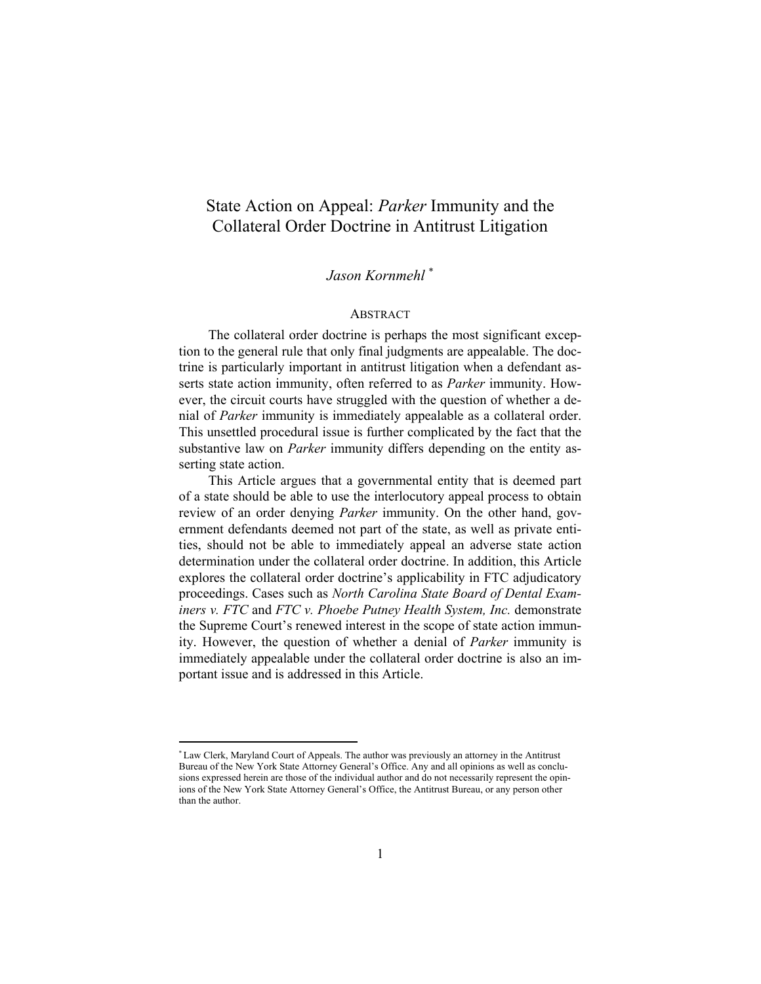# State Action on Appeal: *Parker* Immunity and the Collateral Order Doctrine in Antitrust Litigation

# *Jason Kornmehl* <sup>∗</sup>

## **ABSTRACT**

The collateral order doctrine is perhaps the most significant exception to the general rule that only final judgments are appealable. The doctrine is particularly important in antitrust litigation when a defendant asserts state action immunity, often referred to as *Parker* immunity. However, the circuit courts have struggled with the question of whether a denial of *Parker* immunity is immediately appealable as a collateral order. This unsettled procedural issue is further complicated by the fact that the substantive law on *Parker* immunity differs depending on the entity asserting state action.

This Article argues that a governmental entity that is deemed part of a state should be able to use the interlocutory appeal process to obtain review of an order denying *Parker* immunity. On the other hand, government defendants deemed not part of the state, as well as private entities, should not be able to immediately appeal an adverse state action determination under the collateral order doctrine. In addition, this Article explores the collateral order doctrine's applicability in FTC adjudicatory proceedings. Cases such as *North Carolina State Board of Dental Examiners v. FTC* and *FTC v. Phoebe Putney Health System, Inc.* demonstrate the Supreme Court's renewed interest in the scope of state action immunity. However, the question of whether a denial of *Parker* immunity is immediately appealable under the collateral order doctrine is also an important issue and is addressed in this Article.

<sup>∗</sup>Law Clerk, Maryland Court of Appeals. The author was previously an attorney in the Antitrust Bureau of the New York State Attorney General's Office. Any and all opinions as well as conclusions expressed herein are those of the individual author and do not necessarily represent the opinions of the New York State Attorney General's Office, the Antitrust Bureau, or any person other than the author.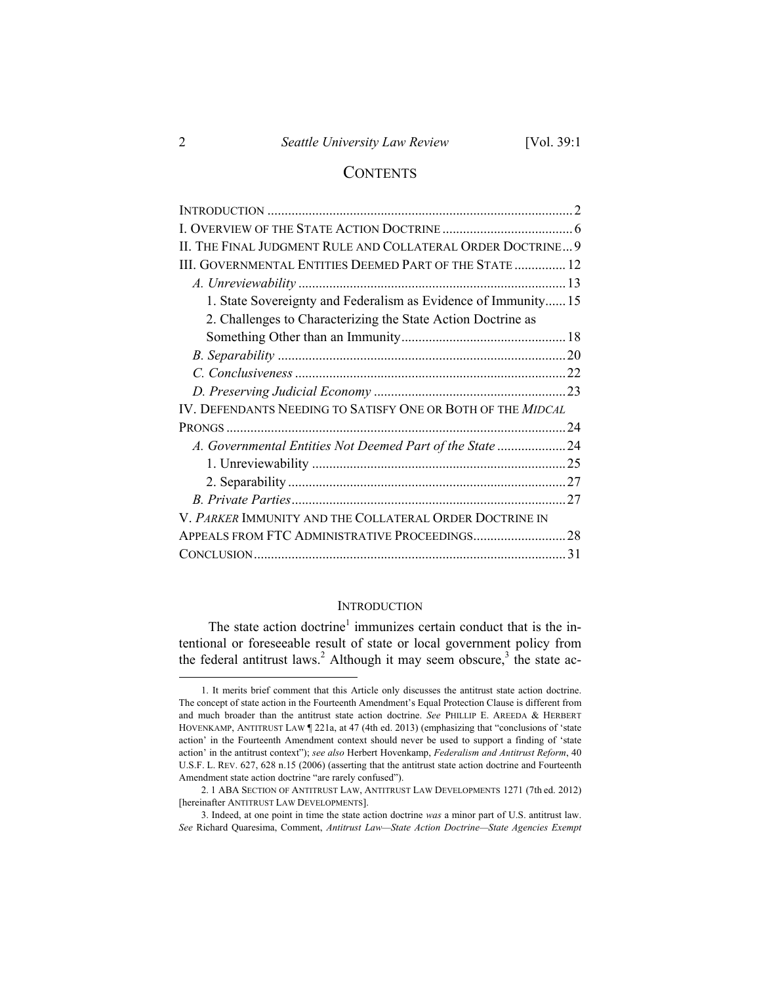# **CONTENTS**

| THE FINAL JUDGMENT RULE AND COLLATERAL ORDER DOCTRINE 9        |  |
|----------------------------------------------------------------|--|
| III. GOVERNMENTAL ENTITIES DEEMED PART OF THE STATE 12         |  |
|                                                                |  |
| 1. State Sovereignty and Federalism as Evidence of Immunity 15 |  |
| 2. Challenges to Characterizing the State Action Doctrine as   |  |
|                                                                |  |
|                                                                |  |
|                                                                |  |
|                                                                |  |
| IV. DEFENDANTS NEEDING TO SATISFY ONE OR BOTH OF THE MIDCAL    |  |
|                                                                |  |
| A. Governmental Entities Not Deemed Part of the State 24       |  |
|                                                                |  |
|                                                                |  |
|                                                                |  |
| V. PARKER IMMUNITY AND THE COLLATERAL ORDER DOCTRINE IN        |  |
|                                                                |  |
|                                                                |  |

#### **INTRODUCTION**

The state action doctrine<sup>1</sup> immunizes certain conduct that is the intentional or foreseeable result of state or local government policy from the federal antitrust laws.<sup>2</sup> Although it may seem obscure,<sup>3</sup> the state ac-

 <sup>1.</sup> It merits brief comment that this Article only discusses the antitrust state action doctrine. The concept of state action in the Fourteenth Amendment's Equal Protection Clause is different from and much broader than the antitrust state action doctrine. *See* PHILLIP E. AREEDA & HERBERT HOVENKAMP, ANTITRUST LAW ¶ 221a, at 47 (4th ed. 2013) (emphasizing that "conclusions of 'state action' in the Fourteenth Amendment context should never be used to support a finding of 'state action' in the antitrust context"); *see also* Herbert Hovenkamp, *Federalism and Antitrust Reform*, 40 U.S.F. L. REV. 627, 628 n.15 (2006) (asserting that the antitrust state action doctrine and Fourteenth Amendment state action doctrine "are rarely confused").

 <sup>2.</sup> 1 ABA SECTION OF ANTITRUST LAW, ANTITRUST LAW DEVELOPMENTS 1271 (7th ed. 2012) [hereinafter ANTITRUST LAW DEVELOPMENTS].

 <sup>3.</sup> Indeed, at one point in time the state action doctrine *was* a minor part of U.S. antitrust law. *See* Richard Quaresima, Comment, *Antitrust Law—State Action Doctrine—State Agencies Exempt*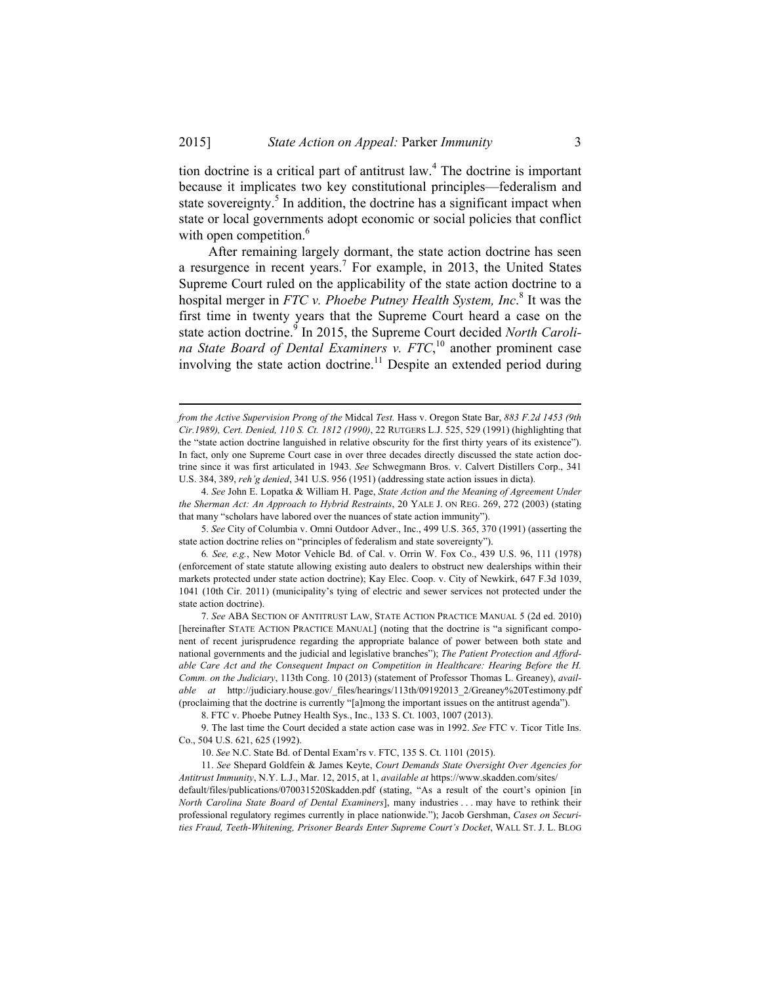tion doctrine is a critical part of antitrust law.<sup>4</sup> The doctrine is important because it implicates two key constitutional principles—federalism and state sovereignty.<sup>5</sup> In addition, the doctrine has a significant impact when state or local governments adopt economic or social policies that conflict with open competition.<sup>6</sup>

After remaining largely dormant, the state action doctrine has seen a resurgence in recent years.<sup>7</sup> For example, in 2013, the United States Supreme Court ruled on the applicability of the state action doctrine to a hospital merger in *FTC v. Phoebe Putney Health System, Inc.*<sup>8</sup> It was the first time in twenty years that the Supreme Court heard a case on the state action doctrine.<sup>9</sup> In 2015, the Supreme Court decided *North Carolina State Board of Dental Examiners v. FTC*, 10 another prominent case involving the state action doctrine.<sup>11</sup> Despite an extended period during

<u> 1989 - Johann Barn, mars eta bat erroman erroman erroman erroman erroman erroman erroman erroman erroman err</u>

5. *See* City of Columbia v. Omni Outdoor Adver., Inc., 499 U.S. 365, 370 (1991) (asserting the state action doctrine relies on "principles of federalism and state sovereignty").

8. FTC v. Phoebe Putney Health Sys., Inc., 133 S. Ct. 1003, 1007 (2013).

 9. The last time the Court decided a state action case was in 1992. *See* FTC v. Ticor Title Ins. Co., 504 U.S. 621, 625 (1992).

10. *See* N.C. State Bd. of Dental Exam'rs v. FTC, 135 S. Ct. 1101 (2015).

11. *See* Shepard Goldfein & James Keyte, *Court Demands State Oversight Over Agencies for Antitrust Immunity*, N.Y. L.J., Mar. 12, 2015, at 1, *available at* https://www.skadden.com/sites/ default/files/publications/070031520Skadden.pdf (stating, "As a result of the court's opinion [in *North Carolina State Board of Dental Examiners*], many industries . . . may have to rethink their professional regulatory regimes currently in place nationwide."); Jacob Gershman, *Cases on Securities Fraud, Teeth-Whitening, Prisoner Beards Enter Supreme Court's Docket*, WALL ST. J. L. BLOG

*from the Active Supervision Prong of the* Midcal *Test.* Hass v. Oregon State Bar, *883 F.2d 1453 (9th Cir.1989), Cert. Denied, 110 S. Ct. 1812 (1990)*, 22 RUTGERS L.J. 525, 529 (1991) (highlighting that the "state action doctrine languished in relative obscurity for the first thirty years of its existence"). In fact, only one Supreme Court case in over three decades directly discussed the state action doctrine since it was first articulated in 1943. *See* Schwegmann Bros. v. Calvert Distillers Corp., 341 U.S. 384, 389, *reh'g denied*, 341 U.S. 956 (1951) (addressing state action issues in dicta).

<sup>4.</sup> *See* John E. Lopatka & William H. Page, *State Action and the Meaning of Agreement Under the Sherman Act: An Approach to Hybrid Restraints*, 20 YALE J. ON REG. 269, 272 (2003) (stating that many "scholars have labored over the nuances of state action immunity").

<sup>6</sup>*. See, e.g.*, New Motor Vehicle Bd. of Cal. v. Orrin W. Fox Co., 439 U.S. 96, 111 (1978) (enforcement of state statute allowing existing auto dealers to obstruct new dealerships within their markets protected under state action doctrine); Kay Elec. Coop. v. City of Newkirk, 647 F.3d 1039, 1041 (10th Cir. 2011) (municipality's tying of electric and sewer services not protected under the state action doctrine).

<sup>7.</sup> *See* ABA SECTION OF ANTITRUST LAW, STATE ACTION PRACTICE MANUAL 5 (2d ed. 2010) [hereinafter STATE ACTION PRACTICE MANUAL] (noting that the doctrine is "a significant component of recent jurisprudence regarding the appropriate balance of power between both state and national governments and the judicial and legislative branches"); *The Patient Protection and Affordable Care Act and the Consequent Impact on Competition in Healthcare: Hearing Before the H. Comm. on the Judiciary*, 113th Cong. 10 (2013) (statement of Professor Thomas L. Greaney), *available at* http://judiciary.house.gov/\_files/hearings/113th/09192013\_2/Greaney%20Testimony.pdf (proclaiming that the doctrine is currently "[a]mong the important issues on the antitrust agenda").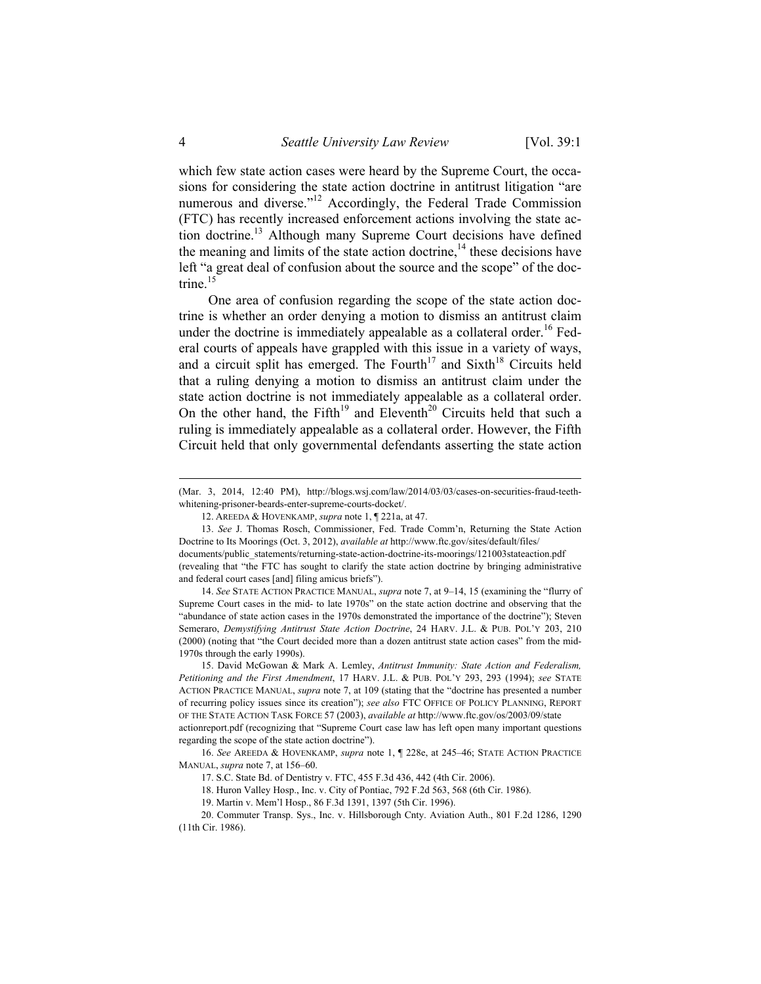which few state action cases were heard by the Supreme Court, the occasions for considering the state action doctrine in antitrust litigation "are numerous and diverse."<sup>12</sup> Accordingly, the Federal Trade Commission (FTC) has recently increased enforcement actions involving the state action doctrine.<sup>13</sup> Although many Supreme Court decisions have defined the meaning and limits of the state action doctrine,<sup>14</sup> these decisions have left "a great deal of confusion about the source and the scope" of the doctrine $15$ 

One area of confusion regarding the scope of the state action doctrine is whether an order denying a motion to dismiss an antitrust claim under the doctrine is immediately appealable as a collateral order.<sup>16</sup> Federal courts of appeals have grappled with this issue in a variety of ways, and a circuit split has emerged. The Fourth<sup>17</sup> and Sixth<sup>18</sup> Circuits held that a ruling denying a motion to dismiss an antitrust claim under the state action doctrine is not immediately appealable as a collateral order. On the other hand, the Fifth<sup>19</sup> and Eleventh<sup>20</sup> Circuits held that such a ruling is immediately appealable as a collateral order. However, the Fifth Circuit held that only governmental defendants asserting the state action

14. *See* STATE ACTION PRACTICE MANUAL, *supra* note 7, at 9–14, 15 (examining the "flurry of Supreme Court cases in the mid- to late 1970s" on the state action doctrine and observing that the "abundance of state action cases in the 1970s demonstrated the importance of the doctrine"); Steven Semeraro, *Demystifying Antitrust State Action Doctrine*, 24 HARV. J.L. & PUB. POL'Y 203, 210 (2000) (noting that "the Court decided more than a dozen antitrust state action cases" from the mid-1970s through the early 1990s).

<sup>&</sup>lt;u> 1989 - Johann Barn, mars ann an t-Amhain ann an t-Amhain an t-Amhain an t-Amhain an t-Amhain an t-Amhain an t-</u> (Mar. 3, 2014, 12:40 PM), http://blogs.wsj.com/law/2014/03/03/cases-on-securities-fraud-teethwhitening-prisoner-beards-enter-supreme-courts-docket/.

 <sup>12.</sup> AREEDA & HOVENKAMP, *supra* note 1, ¶ 221a, at 47.

<sup>13.</sup> *See* J. Thomas Rosch, Commissioner, Fed. Trade Comm'n, Returning the State Action Doctrine to Its Moorings (Oct. 3, 2012), *available at* http://www.ftc.gov/sites/default/files/ documents/public\_statements/returning-state-action-doctrine-its-moorings/121003stateaction.pdf (revealing that "the FTC has sought to clarify the state action doctrine by bringing administrative and federal court cases [and] filing amicus briefs").

 <sup>15.</sup> David McGowan & Mark A. Lemley, *Antitrust Immunity: State Action and Federalism, Petitioning and the First Amendment*, 17 HARV. J.L. & PUB. POL'Y 293, 293 (1994); *see* STATE ACTION PRACTICE MANUAL, *supra* note 7, at 109 (stating that the "doctrine has presented a number of recurring policy issues since its creation"); *see also* FTC OFFICE OF POLICY PLANNING, REPORT OF THE STATE ACTION TASK FORCE 57 (2003), *available at* http://www.ftc.gov/os/2003/09/state

actionreport.pdf (recognizing that "Supreme Court case law has left open many important questions regarding the scope of the state action doctrine").

<sup>16.</sup> *See* AREEDA & HOVENKAMP, *supra* note 1, ¶ 228e, at 245–46; STATE ACTION PRACTICE MANUAL, *supra* note 7, at 156–60.

 <sup>17.</sup> S.C. State Bd. of Dentistry v. FTC, 455 F.3d 436, 442 (4th Cir. 2006).

 <sup>18.</sup> Huron Valley Hosp., Inc. v. City of Pontiac, 792 F.2d 563, 568 (6th Cir. 1986).

 <sup>19.</sup> Martin v. Mem'l Hosp., 86 F.3d 1391, 1397 (5th Cir. 1996).

 <sup>20.</sup> Commuter Transp. Sys., Inc. v. Hillsborough Cnty. Aviation Auth., 801 F.2d 1286, 1290 (11th Cir. 1986).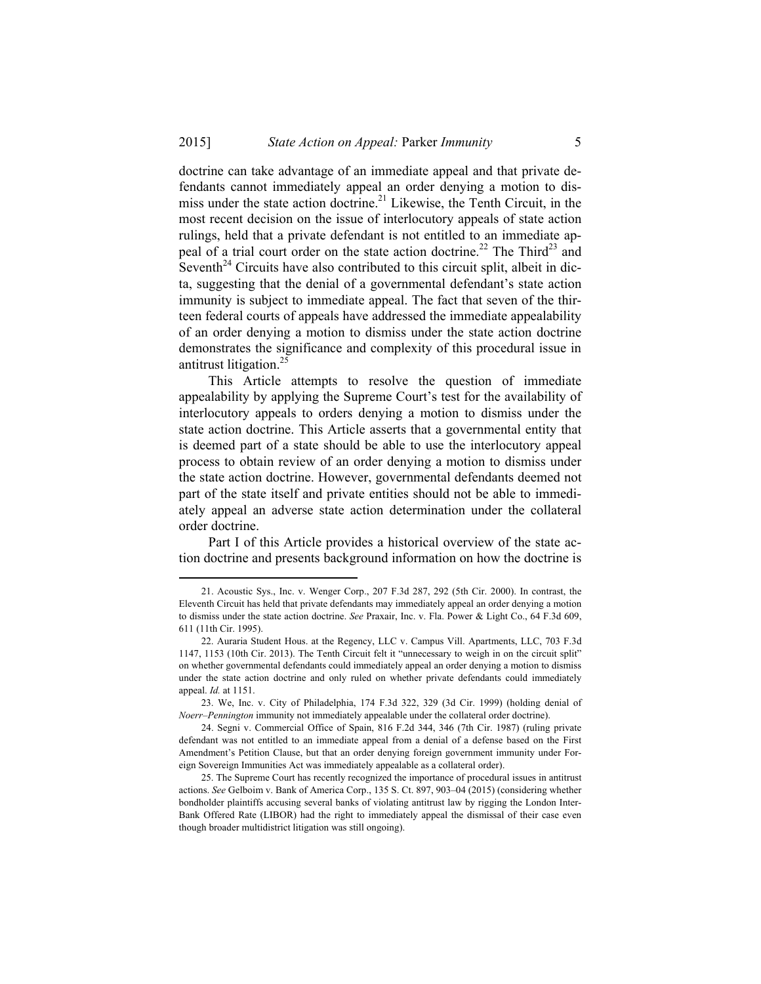doctrine can take advantage of an immediate appeal and that private defendants cannot immediately appeal an order denying a motion to dismiss under the state action doctrine.21 Likewise, the Tenth Circuit, in the most recent decision on the issue of interlocutory appeals of state action rulings, held that a private defendant is not entitled to an immediate appeal of a trial court order on the state action doctrine.<sup>22</sup> The Third<sup>23</sup> and Seventh<sup>24</sup> Circuits have also contributed to this circuit split, albeit in dicta, suggesting that the denial of a governmental defendant's state action immunity is subject to immediate appeal. The fact that seven of the thirteen federal courts of appeals have addressed the immediate appealability of an order denying a motion to dismiss under the state action doctrine demonstrates the significance and complexity of this procedural issue in antitrust litigation.25

This Article attempts to resolve the question of immediate appealability by applying the Supreme Court's test for the availability of interlocutory appeals to orders denying a motion to dismiss under the state action doctrine. This Article asserts that a governmental entity that is deemed part of a state should be able to use the interlocutory appeal process to obtain review of an order denying a motion to dismiss under the state action doctrine. However, governmental defendants deemed not part of the state itself and private entities should not be able to immediately appeal an adverse state action determination under the collateral order doctrine.

Part I of this Article provides a historical overview of the state action doctrine and presents background information on how the doctrine is

 <sup>21.</sup> Acoustic Sys., Inc. v. Wenger Corp., 207 F.3d 287, 292 (5th Cir. 2000). In contrast, the Eleventh Circuit has held that private defendants may immediately appeal an order denying a motion to dismiss under the state action doctrine. *See* Praxair, Inc. v. Fla. Power & Light Co., 64 F.3d 609, 611 (11th Cir. 1995).

 <sup>22.</sup> Auraria Student Hous. at the Regency, LLC v. Campus Vill. Apartments, LLC, 703 F.3d 1147, 1153 (10th Cir. 2013). The Tenth Circuit felt it "unnecessary to weigh in on the circuit split" on whether governmental defendants could immediately appeal an order denying a motion to dismiss under the state action doctrine and only ruled on whether private defendants could immediately appeal. *Id.* at 1151.

 <sup>23.</sup> We, Inc. v. City of Philadelphia, 174 F.3d 322, 329 (3d Cir. 1999) (holding denial of *Noerr–Pennington* immunity not immediately appealable under the collateral order doctrine).

 <sup>24.</sup> Segni v. Commercial Office of Spain, 816 F.2d 344, 346 (7th Cir. 1987) (ruling private defendant was not entitled to an immediate appeal from a denial of a defense based on the First Amendment's Petition Clause, but that an order denying foreign government immunity under Foreign Sovereign Immunities Act was immediately appealable as a collateral order).

 <sup>25.</sup> The Supreme Court has recently recognized the importance of procedural issues in antitrust actions. *See* Gelboim v. Bank of America Corp., 135 S. Ct. 897, 903–04 (2015) (considering whether bondholder plaintiffs accusing several banks of violating antitrust law by rigging the London Inter-Bank Offered Rate (LIBOR) had the right to immediately appeal the dismissal of their case even though broader multidistrict litigation was still ongoing).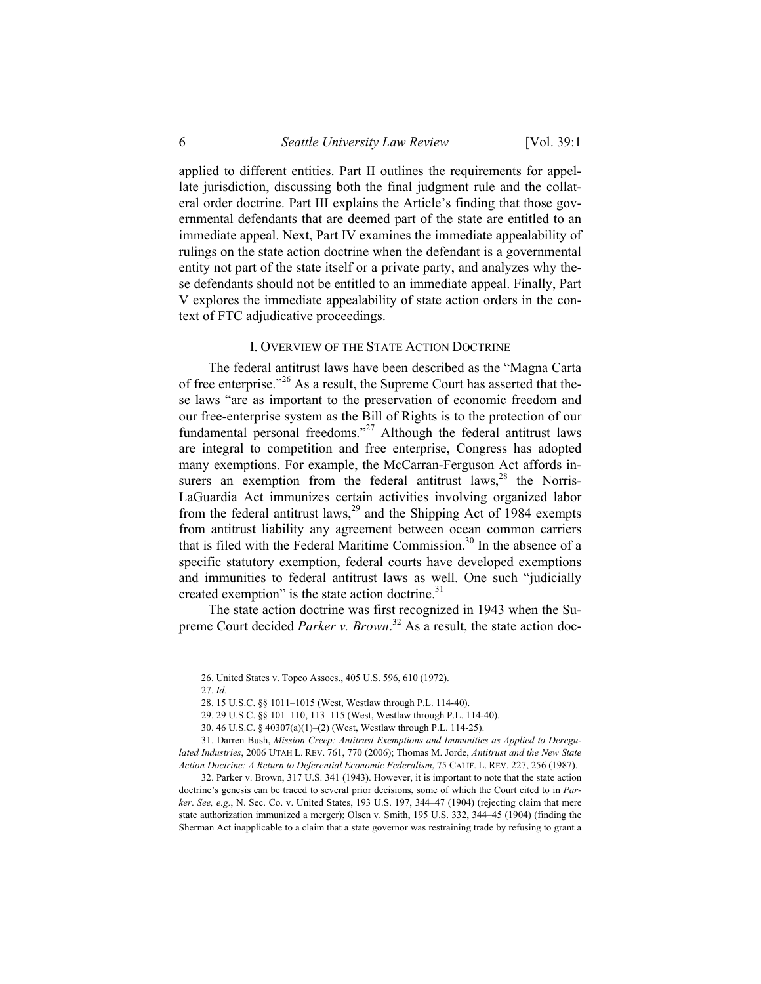applied to different entities. Part II outlines the requirements for appellate jurisdiction, discussing both the final judgment rule and the collateral order doctrine. Part III explains the Article's finding that those governmental defendants that are deemed part of the state are entitled to an immediate appeal. Next, Part IV examines the immediate appealability of rulings on the state action doctrine when the defendant is a governmental entity not part of the state itself or a private party, and analyzes why these defendants should not be entitled to an immediate appeal. Finally, Part V explores the immediate appealability of state action orders in the context of FTC adjudicative proceedings.

#### I. OVERVIEW OF THE STATE ACTION DOCTRINE

The federal antitrust laws have been described as the "Magna Carta of free enterprise."26 As a result, the Supreme Court has asserted that these laws "are as important to the preservation of economic freedom and our free-enterprise system as the Bill of Rights is to the protection of our fundamental personal freedoms."27 Although the federal antitrust laws are integral to competition and free enterprise, Congress has adopted many exemptions. For example, the McCarran-Ferguson Act affords insurers an exemption from the federal antitrust laws,  $28$  the Norris-LaGuardia Act immunizes certain activities involving organized labor from the federal antitrust laws,<sup>29</sup> and the Shipping Act of 1984 exempts from antitrust liability any agreement between ocean common carriers that is filed with the Federal Maritime Commission.<sup>30</sup> In the absence of a specific statutory exemption, federal courts have developed exemptions and immunities to federal antitrust laws as well. One such "judicially created exemption" is the state action doctrine. $31$ 

The state action doctrine was first recognized in 1943 when the Supreme Court decided *Parker v. Brown*. 32 As a result, the state action doc-

 <sup>26.</sup> United States v. Topco Assocs., 405 U.S. 596, 610 (1972).

<sup>27.</sup> *Id.*

 <sup>28. 15</sup> U.S.C. §§ 1011–1015 (West, Westlaw through P.L. 114-40).

 <sup>29. 29</sup> U.S.C. §§ 101–110, 113–115 (West, Westlaw through P.L. 114-40).

 <sup>30. 46</sup> U.S.C. § 40307(a)(1)–(2) (West, Westlaw through P.L. 114-25).

 <sup>31.</sup> Darren Bush, *Mission Creep: Antitrust Exemptions and Immunities as Applied to Deregulated Industries*, 2006 UTAH L. REV. 761, 770 (2006); Thomas M. Jorde, *Antitrust and the New State Action Doctrine: A Return to Deferential Economic Federalism*, 75 CALIF. L. REV. 227, 256 (1987).

<sup>32.</sup> Parker v. Brown, 317 U.S. 341 (1943). However, it is important to note that the state action doctrine's genesis can be traced to several prior decisions, some of which the Court cited to in *Parker*. *See, e.g.*, N. Sec. Co. v. United States, 193 U.S. 197, 344–47 (1904) (rejecting claim that mere state authorization immunized a merger); Olsen v. Smith, 195 U.S. 332, 344–45 (1904) (finding the Sherman Act inapplicable to a claim that a state governor was restraining trade by refusing to grant a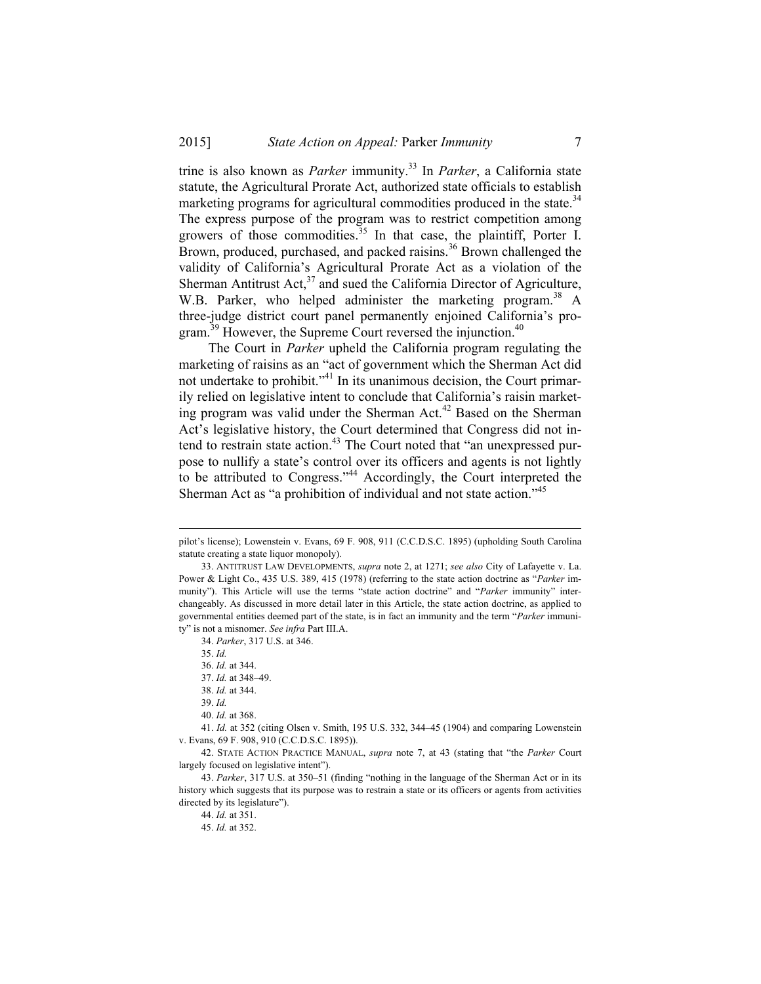trine is also known as *Parker* immunity.<sup>33</sup> In *Parker*, a California state statute, the Agricultural Prorate Act, authorized state officials to establish marketing programs for agricultural commodities produced in the state. $34$ The express purpose of the program was to restrict competition among growers of those commodities. $35$  In that case, the plaintiff, Porter I. Brown, produced, purchased, and packed raisins.<sup>36</sup> Brown challenged the validity of California's Agricultural Prorate Act as a violation of the Sherman Antitrust Act, $37$  and sued the California Director of Agriculture, W.B. Parker, who helped administer the marketing program.<sup>38</sup> A three-judge district court panel permanently enjoined California's program.<sup>39</sup> However, the Supreme Court reversed the injunction.<sup>40</sup>

The Court in *Parker* upheld the California program regulating the marketing of raisins as an "act of government which the Sherman Act did not undertake to prohibit."41 In its unanimous decision, the Court primarily relied on legislative intent to conclude that California's raisin marketing program was valid under the Sherman Act.<sup>42</sup> Based on the Sherman Act's legislative history, the Court determined that Congress did not intend to restrain state action.<sup>43</sup> The Court noted that "an unexpressed purpose to nullify a state's control over its officers and agents is not lightly to be attributed to Congress."44 Accordingly, the Court interpreted the Sherman Act as "a prohibition of individual and not state action."<sup>45</sup>

41. *Id.* at 352 (citing Olsen v. Smith, 195 U.S. 332, 344–45 (1904) and comparing Lowenstein v. Evans, 69 F. 908, 910 (C.C.D.S.C. 1895)).

 42. STATE ACTION PRACTICE MANUAL, *supra* note 7, at 43 (stating that "the *Parker* Court largely focused on legislative intent").

<sup>&</sup>lt;u> 1989 - Johann Barn, mars eta bat erroman erroman erroman erroman erroman erroman erroman erroman erroman err</u> pilot's license); Lowenstein v. Evans, 69 F. 908, 911 (C.C.D.S.C. 1895) (upholding South Carolina statute creating a state liquor monopoly).

 <sup>33.</sup> ANTITRUST LAW DEVELOPMENTS, *supra* note 2, at 1271; *see also* City of Lafayette v. La. Power & Light Co., 435 U.S. 389, 415 (1978) (referring to the state action doctrine as "*Parker* immunity"). This Article will use the terms "state action doctrine" and "*Parker* immunity" interchangeably. As discussed in more detail later in this Article, the state action doctrine, as applied to governmental entities deemed part of the state, is in fact an immunity and the term "*Parker* immunity" is not a misnomer. *See infra* Part III.A.

 <sup>34.</sup> *Parker*, 317 U.S. at 346.

<sup>35.</sup> *Id.* 

<sup>36.</sup> *Id.* at 344.

<sup>37.</sup> *Id.* at 348–49.

<sup>38.</sup> *Id.* at 344.

<sup>39.</sup> *Id.* 

<sup>40.</sup> *Id.* at 368.

 <sup>43.</sup> *Parker*, 317 U.S. at 350–51 (finding "nothing in the language of the Sherman Act or in its history which suggests that its purpose was to restrain a state or its officers or agents from activities directed by its legislature").

<sup>44.</sup> *Id.* at 351.

<sup>45.</sup> *Id.* at 352.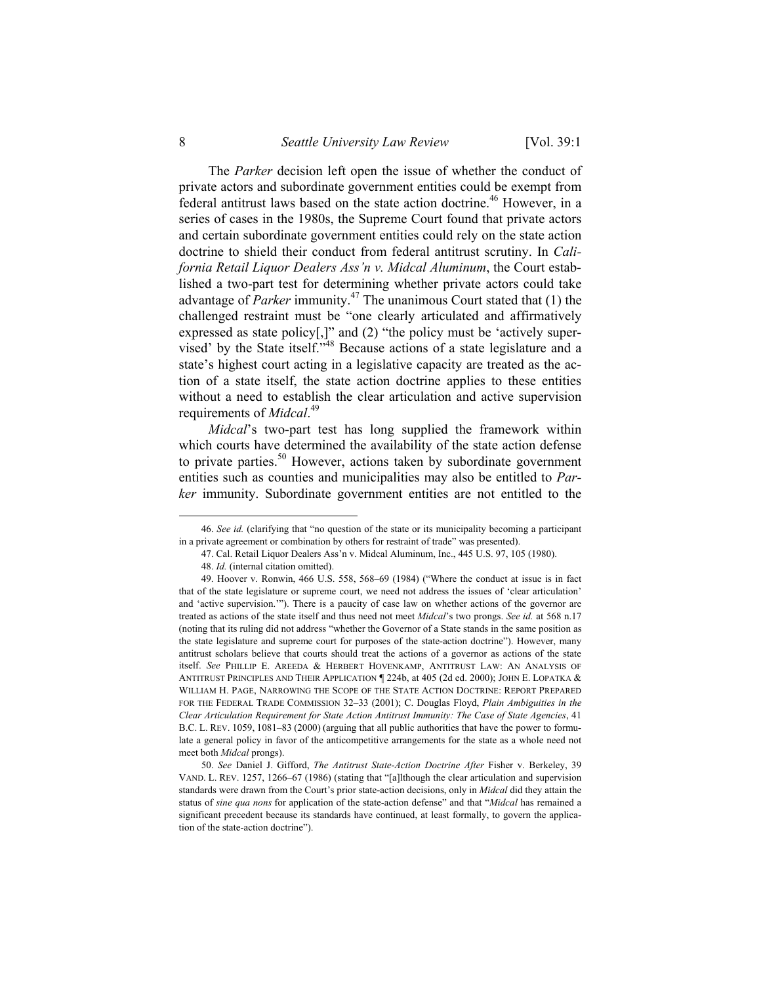The *Parker* decision left open the issue of whether the conduct of private actors and subordinate government entities could be exempt from federal antitrust laws based on the state action doctrine.<sup>46</sup> However, in a series of cases in the 1980s, the Supreme Court found that private actors and certain subordinate government entities could rely on the state action doctrine to shield their conduct from federal antitrust scrutiny. In *California Retail Liquor Dealers Ass'n v. Midcal Aluminum*, the Court established a two-part test for determining whether private actors could take advantage of *Parker* immunity.47 The unanimous Court stated that (1) the challenged restraint must be "one clearly articulated and affirmatively expressed as state policy[,]" and (2) "the policy must be 'actively supervised' by the State itself."<sup>48</sup> Because actions of a state legislature and a state's highest court acting in a legislative capacity are treated as the action of a state itself, the state action doctrine applies to these entities without a need to establish the clear articulation and active supervision requirements of *Midcal*. 49

*Midcal*'s two-part test has long supplied the framework within which courts have determined the availability of the state action defense to private parties.<sup>50</sup> However, actions taken by subordinate government entities such as counties and municipalities may also be entitled to *Parker* immunity. Subordinate government entities are not entitled to the

<sup>46.</sup> *See id.* (clarifying that "no question of the state or its municipality becoming a participant in a private agreement or combination by others for restraint of trade" was presented).

 <sup>47.</sup> Cal. Retail Liquor Dealers Ass'n v. Midcal Aluminum, Inc., 445 U.S. 97, 105 (1980).

<sup>48.</sup> *Id.* (internal citation omitted).

 <sup>49.</sup> Hoover v. Ronwin, 466 U.S. 558, 568–69 (1984) ("Where the conduct at issue is in fact that of the state legislature or supreme court, we need not address the issues of 'clear articulation' and 'active supervision.'"). There is a paucity of case law on whether actions of the governor are treated as actions of the state itself and thus need not meet *Midcal*'s two prongs. *See id.* at 568 n.17 (noting that its ruling did not address "whether the Governor of a State stands in the same position as the state legislature and supreme court for purposes of the state-action doctrine"). However, many antitrust scholars believe that courts should treat the actions of a governor as actions of the state itself. *See* PHILLIP E. AREEDA & HERBERT HOVENKAMP, ANTITRUST LAW: AN ANALYSIS OF ANTITRUST PRINCIPLES AND THEIR APPLICATION ¶ 224b, at 405 (2d ed. 2000); JOHN E. LOPATKA & WILLIAM H. PAGE, NARROWING THE SCOPE OF THE STATE ACTION DOCTRINE: REPORT PREPARED FOR THE FEDERAL TRADE COMMISSION 32–33 (2001); C. Douglas Floyd, *Plain Ambiguities in the Clear Articulation Requirement for State Action Antitrust Immunity: The Case of State Agencies*, 41 B.C. L. REV. 1059, 1081–83 (2000) (arguing that all public authorities that have the power to formulate a general policy in favor of the anticompetitive arrangements for the state as a whole need not meet both *Midcal* prongs).

<sup>50.</sup> *See* Daniel J. Gifford, *The Antitrust State-Action Doctrine After* Fisher v. Berkeley, 39 VAND. L. REV. 1257, 1266–67 (1986) (stating that "[a]lthough the clear articulation and supervision standards were drawn from the Court's prior state-action decisions, only in *Midcal* did they attain the status of *sine qua nons* for application of the state-action defense" and that "*Midcal* has remained a significant precedent because its standards have continued, at least formally, to govern the application of the state-action doctrine").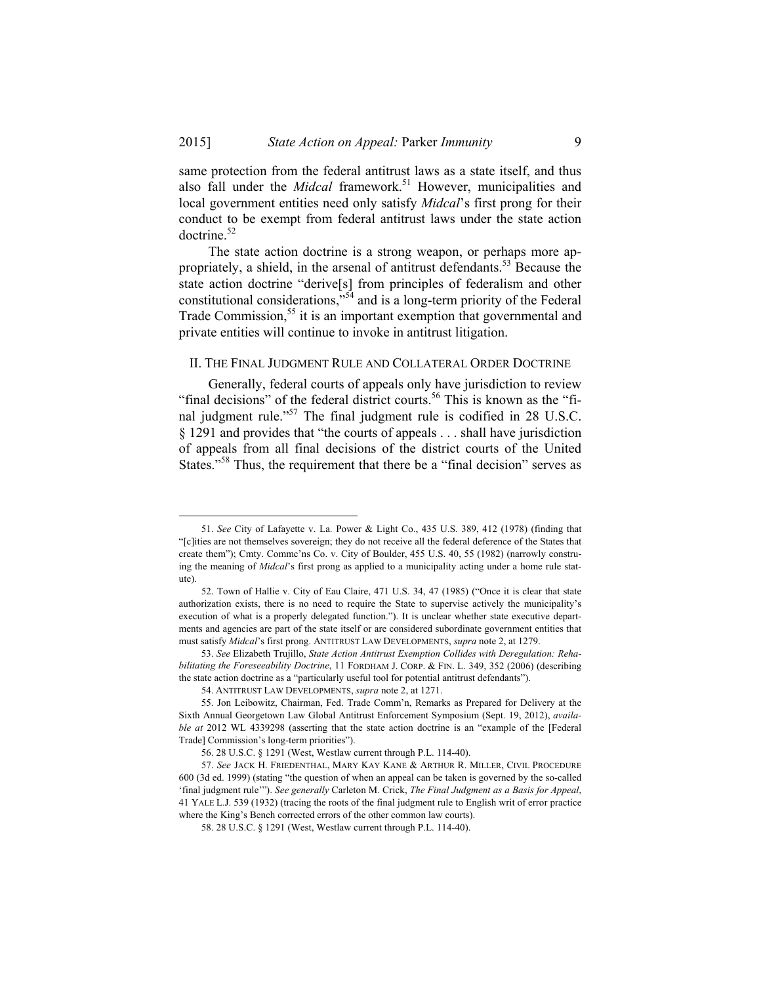same protection from the federal antitrust laws as a state itself, and thus also fall under the *Midcal* framework.<sup>51</sup> However, municipalities and local government entities need only satisfy *Midcal*'s first prong for their conduct to be exempt from federal antitrust laws under the state action  $doctrine.<sup>52</sup>$ 

The state action doctrine is a strong weapon, or perhaps more appropriately, a shield, in the arsenal of antitrust defendants.<sup>53</sup> Because the state action doctrine "derive[s] from principles of federalism and other constitutional considerations, $^{5,54}$  and is a long-term priority of the Federal Trade Commission,<sup>55</sup> it is an important exemption that governmental and private entities will continue to invoke in antitrust litigation.

### II. THE FINAL JUDGMENT RULE AND COLLATERAL ORDER DOCTRINE

Generally, federal courts of appeals only have jurisdiction to review "final decisions" of the federal district courts.<sup>56</sup> This is known as the "final judgment rule."57 The final judgment rule is codified in 28 U.S.C. § 1291 and provides that "the courts of appeals . . . shall have jurisdiction of appeals from all final decisions of the district courts of the United States."<sup>58</sup> Thus, the requirement that there be a "final decision" serves as

<sup>51.</sup> *See* City of Lafayette v. La. Power & Light Co., 435 U.S. 389, 412 (1978) (finding that "[c]ities are not themselves sovereign; they do not receive all the federal deference of the States that create them"); Cmty. Commc'ns Co. v. City of Boulder, 455 U.S. 40, 55 (1982) (narrowly construing the meaning of *Midcal*'s first prong as applied to a municipality acting under a home rule statute).

 <sup>52.</sup> Town of Hallie v. City of Eau Claire, 471 U.S. 34, 47 (1985) ("Once it is clear that state authorization exists, there is no need to require the State to supervise actively the municipality's execution of what is a properly delegated function."). It is unclear whether state executive departments and agencies are part of the state itself or are considered subordinate government entities that must satisfy *Midcal*'s first prong. ANTITRUST LAW DEVELOPMENTS, *supra* note 2, at 1279.

<sup>53.</sup> *See* Elizabeth Trujillo, *State Action Antitrust Exemption Collides with Deregulation: Rehabilitating the Foreseeability Doctrine*, 11 FORDHAM J. CORP. & FIN. L. 349, 352 (2006) (describing the state action doctrine as a "particularly useful tool for potential antitrust defendants").

 <sup>54.</sup> ANTITRUST LAW DEVELOPMENTS, *supra* note 2, at 1271.

 <sup>55.</sup> Jon Leibowitz, Chairman, Fed. Trade Comm'n, Remarks as Prepared for Delivery at the Sixth Annual Georgetown Law Global Antitrust Enforcement Symposium (Sept. 19, 2012), *available at* 2012 WL 4339298 (asserting that the state action doctrine is an "example of the [Federal Trade] Commission's long-term priorities").

<sup>56.</sup> 28 U.S.C. § 1291 (West, Westlaw current through P.L. 114-40).

<sup>57.</sup> *See* JACK H. FRIEDENTHAL, MARY KAY KANE & ARTHUR R. MILLER, CIVIL PROCEDURE 600 (3d ed. 1999) (stating "the question of when an appeal can be taken is governed by the so-called 'final judgment rule'"). *See generally* Carleton M. Crick, *The Final Judgment as a Basis for Appeal*, 41 YALE L.J. 539 (1932) (tracing the roots of the final judgment rule to English writ of error practice where the King's Bench corrected errors of the other common law courts).

 <sup>58. 28</sup> U.S.C. § 1291 (West, Westlaw current through P.L. 114-40).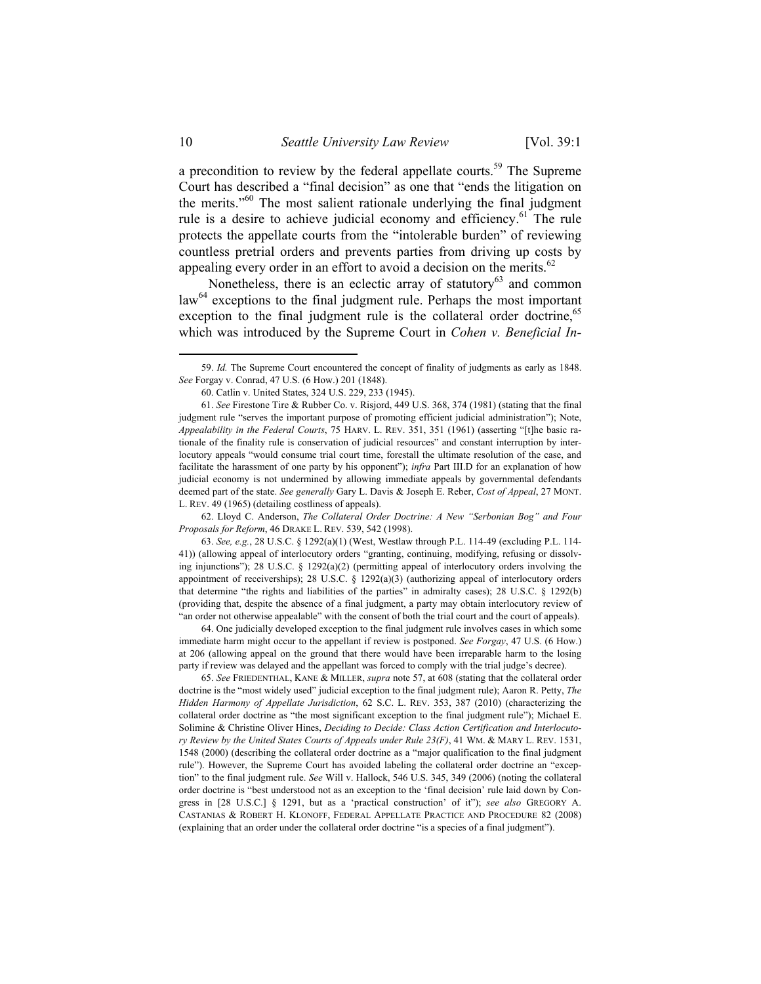a precondition to review by the federal appellate courts.<sup>59</sup> The Supreme Court has described a "final decision" as one that "ends the litigation on the merits."60 The most salient rationale underlying the final judgment rule is a desire to achieve judicial economy and efficiency.<sup>61</sup> The rule protects the appellate courts from the "intolerable burden" of reviewing countless pretrial orders and prevents parties from driving up costs by appealing every order in an effort to avoid a decision on the merits. $62$ 

Nonetheless, there is an eclectic array of statutory $^{63}$  and common law<sup>64</sup> exceptions to the final judgment rule. Perhaps the most important exception to the final judgment rule is the collateral order doctrine,<sup>65</sup> which was introduced by the Supreme Court in *Cohen v. Beneficial In-*

 62. Lloyd C. Anderson, *The Collateral Order Doctrine: A New "Serbonian Bog" and Four Proposals for Reform*, 46 DRAKE L. REV. 539, 542 (1998).

63. *See, e.g.*, 28 U.S.C. § 1292(a)(1) (West, Westlaw through P.L. 114-49 (excluding P.L. 114- 41)) (allowing appeal of interlocutory orders "granting, continuing, modifying, refusing or dissolving injunctions"); 28 U.S.C. § 1292(a)(2) (permitting appeal of interlocutory orders involving the appointment of receiverships); 28 U.S.C.  $\S$  1292(a)(3) (authorizing appeal of interlocutory orders that determine "the rights and liabilities of the parties" in admiralty cases); 28 U.S.C. § 1292(b) (providing that, despite the absence of a final judgment, a party may obtain interlocutory review of "an order not otherwise appealable" with the consent of both the trial court and the court of appeals).

 64. One judicially developed exception to the final judgment rule involves cases in which some immediate harm might occur to the appellant if review is postponed. *See Forgay*, 47 U.S. (6 How.) at 206 (allowing appeal on the ground that there would have been irreparable harm to the losing party if review was delayed and the appellant was forced to comply with the trial judge's decree).

65. *See* FRIEDENTHAL, KANE & MILLER, *supra* note 57, at 608 (stating that the collateral order doctrine is the "most widely used" judicial exception to the final judgment rule); Aaron R. Petty, *The Hidden Harmony of Appellate Jurisdiction*, 62 S.C. L. REV. 353, 387 (2010) (characterizing the collateral order doctrine as "the most significant exception to the final judgment rule"); Michael E. Solimine & Christine Oliver Hines, *Deciding to Decide: Class Action Certification and Interlocutory Review by the United States Courts of Appeals under Rule 23(F)*, 41 WM. & MARY L. REV. 1531, 1548 (2000) (describing the collateral order doctrine as a "major qualification to the final judgment rule"). However, the Supreme Court has avoided labeling the collateral order doctrine an "exception" to the final judgment rule. *See* Will v. Hallock, 546 U.S. 345, 349 (2006) (noting the collateral order doctrine is "best understood not as an exception to the 'final decision' rule laid down by Congress in [28 U.S.C.] § 1291, but as a 'practical construction' of it"); *see also* GREGORY A. CASTANIAS & ROBERT H. KLONOFF, FEDERAL APPELLATE PRACTICE AND PROCEDURE 82 (2008) (explaining that an order under the collateral order doctrine "is a species of a final judgment").

 <sup>59.</sup> *Id.* The Supreme Court encountered the concept of finality of judgments as early as 1848. *See* Forgay v. Conrad, 47 U.S. (6 How.) 201 (1848).

 <sup>60.</sup> Catlin v. United States, 324 U.S. 229, 233 (1945).

<sup>61.</sup> *See* Firestone Tire & Rubber Co. v. Risjord, 449 U.S. 368, 374 (1981) (stating that the final judgment rule "serves the important purpose of promoting efficient judicial administration"); Note, *Appealability in the Federal Courts*, 75 HARV. L. REV. 351, 351 (1961) (asserting "[t]he basic rationale of the finality rule is conservation of judicial resources" and constant interruption by interlocutory appeals "would consume trial court time, forestall the ultimate resolution of the case, and facilitate the harassment of one party by his opponent"); *infra* Part III.D for an explanation of how judicial economy is not undermined by allowing immediate appeals by governmental defendants deemed part of the state. *See generally* Gary L. Davis & Joseph E. Reber, *Cost of Appeal*, 27 MONT. L. REV. 49 (1965) (detailing costliness of appeals).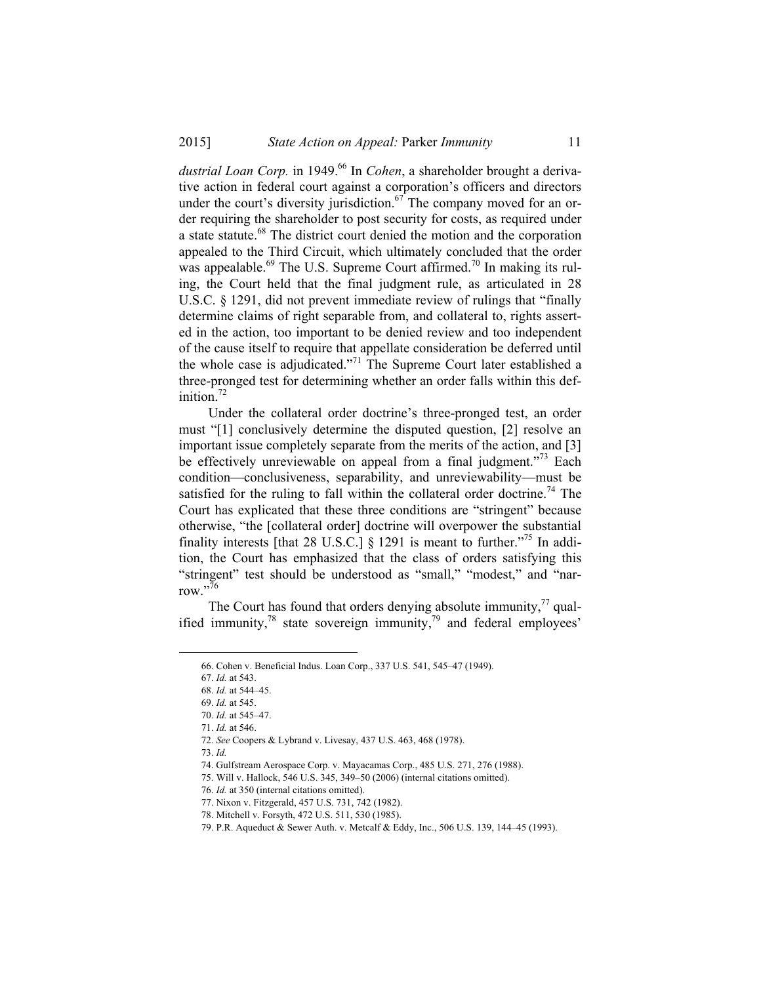dustrial Loan Corp. in 1949.<sup>66</sup> In *Cohen*, a shareholder brought a derivative action in federal court against a corporation's officers and directors under the court's diversity jurisdiction.<sup>67</sup> The company moved for an order requiring the shareholder to post security for costs, as required under a state statute.<sup>68</sup> The district court denied the motion and the corporation appealed to the Third Circuit, which ultimately concluded that the order was appealable.<sup>69</sup> The U.S. Supreme Court affirmed.<sup>70</sup> In making its ruling, the Court held that the final judgment rule, as articulated in 28 U.S.C. § 1291, did not prevent immediate review of rulings that "finally determine claims of right separable from, and collateral to, rights asserted in the action, too important to be denied review and too independent of the cause itself to require that appellate consideration be deferred until the whole case is adjudicated."71 The Supreme Court later established a three-pronged test for determining whether an order falls within this definition.<sup>72</sup>

Under the collateral order doctrine's three-pronged test, an order must "[1] conclusively determine the disputed question, [2] resolve an important issue completely separate from the merits of the action, and [3] be effectively unreviewable on appeal from a final judgment."<sup>73</sup> Each condition—conclusiveness, separability, and unreviewability—must be satisfied for the ruling to fall within the collateral order doctrine.<sup>74</sup> The Court has explicated that these three conditions are "stringent" because otherwise, "the [collateral order] doctrine will overpower the substantial finality interests [that 28 U.S.C.]  $\S$  1291 is meant to further.<sup>775</sup> In addition, the Court has emphasized that the class of orders satisfying this "stringent" test should be understood as "small," "modest," and "narrow." $76$ 

The Court has found that orders denying absolute immunity, $^{77}$  qualified immunity, $^{78}$  state sovereign immunity, $^{79}$  and federal employees'

73. *Id.*

 <sup>66.</sup> Cohen v. Beneficial Indus. Loan Corp., 337 U.S. 541, 545–47 (1949).

<sup>67.</sup> *Id.* at 543.

<sup>68.</sup> *Id.* at 544–45.

<sup>69.</sup> *Id.* at 545.

<sup>70.</sup> *Id.* at 545–47.

<sup>71.</sup> *Id.* at 546.

<sup>72.</sup> *See* Coopers & Lybrand v. Livesay, 437 U.S. 463, 468 (1978).

 <sup>74.</sup> Gulfstream Aerospace Corp. v. Mayacamas Corp., 485 U.S. 271, 276 (1988).

 <sup>75.</sup> Will v. Hallock, 546 U.S. 345, 349–50 (2006) (internal citations omitted).

<sup>76.</sup> *Id.* at 350 (internal citations omitted).

 <sup>77.</sup> Nixon v. Fitzgerald, 457 U.S. 731, 742 (1982).

 <sup>78.</sup> Mitchell v. Forsyth, 472 U.S. 511, 530 (1985).

 <sup>79.</sup> P.R. Aqueduct & Sewer Auth. v. Metcalf & Eddy, Inc., 506 U.S. 139, 144–45 (1993).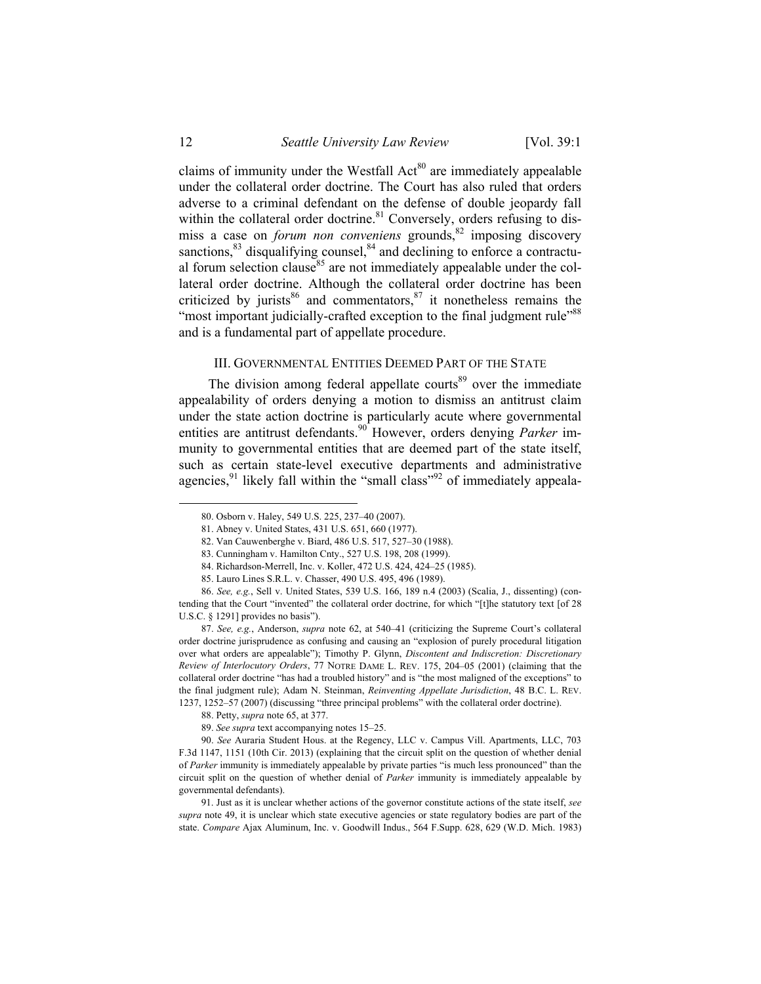claims of immunity under the Westfall  $Act^{80}$  are immediately appealable under the collateral order doctrine. The Court has also ruled that orders adverse to a criminal defendant on the defense of double jeopardy fall within the collateral order doctrine.<sup>81</sup> Conversely, orders refusing to dismiss a case on *forum non conveniens* grounds,<sup>82</sup> imposing discovery sanctions, $83$  disqualifying counsel, $84$  and declining to enforce a contractual forum selection clause<sup>85</sup> are not immediately appealable under the collateral order doctrine. Although the collateral order doctrine has been criticized by jurists<sup>86</sup> and commentators,  $87$  it nonetheless remains the "most important judicially-crafted exception to the final judgment rule"<sup>88</sup> and is a fundamental part of appellate procedure.

# III. GOVERNMENTAL ENTITIES DEEMED PART OF THE STATE

The division among federal appellate courts<sup>89</sup> over the immediate appealability of orders denying a motion to dismiss an antitrust claim under the state action doctrine is particularly acute where governmental entities are antitrust defendants.<sup>90</sup> However, orders denying *Parker* immunity to governmental entities that are deemed part of the state itself, such as certain state-level executive departments and administrative agencies,  $91$  likely fall within the "small class"<sup>92</sup> of immediately appeala-

87. *See, e.g.*, Anderson, *supra* note 62, at 540–41 (criticizing the Supreme Court's collateral order doctrine jurisprudence as confusing and causing an "explosion of purely procedural litigation over what orders are appealable"); Timothy P. Glynn, *Discontent and Indiscretion: Discretionary Review of Interlocutory Orders*, 77 NOTRE DAME L. REV. 175, 204–05 (2001) (claiming that the collateral order doctrine "has had a troubled history" and is "the most maligned of the exceptions" to the final judgment rule); Adam N. Steinman, *Reinventing Appellate Jurisdiction*, 48 B.C. L. REV. 1237, 1252–57 (2007) (discussing "three principal problems" with the collateral order doctrine).

 <sup>80.</sup> Osborn v. Haley, 549 U.S. 225, 237–40 (2007).

 <sup>81.</sup> Abney v. United States, 431 U.S. 651, 660 (1977).

 <sup>82.</sup> Van Cauwenberghe v. Biard, 486 U.S. 517, 527–30 (1988).

 <sup>83.</sup> Cunningham v. Hamilton Cnty., 527 U.S. 198, 208 (1999).

 <sup>84.</sup> Richardson-Merrell, Inc. v. Koller, 472 U.S. 424, 424–25 (1985).

 <sup>85.</sup> Lauro Lines S.R.L. v. Chasser, 490 U.S. 495, 496 (1989).

<sup>86.</sup> *See, e.g.*, Sell v. United States, 539 U.S. 166, 189 n.4 (2003) (Scalia, J., dissenting) (contending that the Court "invented" the collateral order doctrine, for which "[t]he statutory text [of 28 U.S.C. § 1291] provides no basis").

 <sup>88.</sup> Petty, *supra* note 65, at 377.

<sup>89.</sup> *See supra* text accompanying notes 15–25.

<sup>90.</sup> *See* Auraria Student Hous. at the Regency, LLC v. Campus Vill. Apartments, LLC, 703 F.3d 1147, 1151 (10th Cir. 2013) (explaining that the circuit split on the question of whether denial of *Parker* immunity is immediately appealable by private parties "is much less pronounced" than the circuit split on the question of whether denial of *Parker* immunity is immediately appealable by governmental defendants).

 <sup>91.</sup> Just as it is unclear whether actions of the governor constitute actions of the state itself, *see supra* note 49, it is unclear which state executive agencies or state regulatory bodies are part of the state. *Compare* Ajax Aluminum, Inc. v. Goodwill Indus., 564 F.Supp. 628, 629 (W.D. Mich. 1983)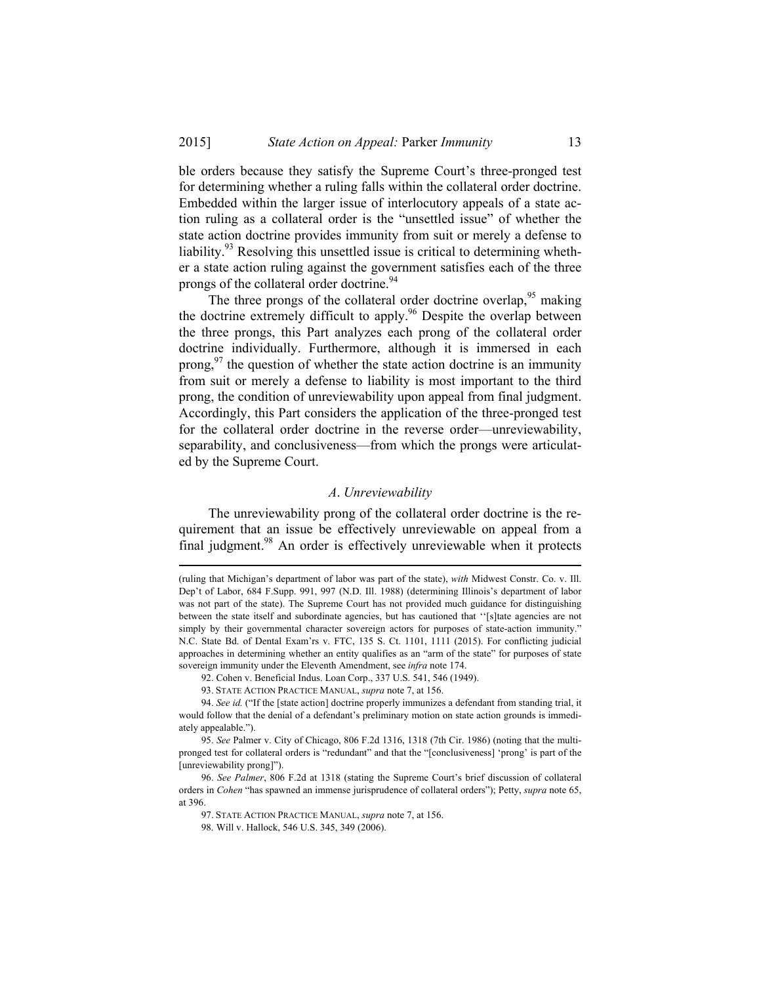ble orders because they satisfy the Supreme Court's three-pronged test for determining whether a ruling falls within the collateral order doctrine. Embedded within the larger issue of interlocutory appeals of a state action ruling as a collateral order is the "unsettled issue" of whether the state action doctrine provides immunity from suit or merely a defense to liability.93 Resolving this unsettled issue is critical to determining whether a state action ruling against the government satisfies each of the three prongs of the collateral order doctrine.<sup>94</sup>

The three prongs of the collateral order doctrine overlap,<sup>95</sup> making the doctrine extremely difficult to apply.<sup>96</sup> Despite the overlap between the three prongs, this Part analyzes each prong of the collateral order doctrine individually. Furthermore, although it is immersed in each prong,  $97$  the question of whether the state action doctrine is an immunity from suit or merely a defense to liability is most important to the third prong, the condition of unreviewability upon appeal from final judgment. Accordingly, this Part considers the application of the three-pronged test for the collateral order doctrine in the reverse order—unreviewability, separability, and conclusiveness—from which the prongs were articulated by the Supreme Court.

#### *A*. *Unreviewability*

The unreviewability prong of the collateral order doctrine is the requirement that an issue be effectively unreviewable on appeal from a final judgment.<sup>98</sup> An order is effectively unreviewable when it protects

<u> 1989 - Johann Barn, mars ann an t-Amhain ann an t-Amhain an t-Amhain an t-Amhain an t-Amhain an t-Amhain an t-</u>

<sup>(</sup>ruling that Michigan's department of labor was part of the state), *with* Midwest Constr. Co. v. Ill. Dep't of Labor, 684 F.Supp. 991, 997 (N.D. Ill. 1988) (determining Illinois's department of labor was not part of the state). The Supreme Court has not provided much guidance for distinguishing between the state itself and subordinate agencies, but has cautioned that ''[s]tate agencies are not simply by their governmental character sovereign actors for purposes of state-action immunity." N.C. State Bd. of Dental Exam'rs v. FTC, 135 S. Ct. 1101, 1111 (2015). For conflicting judicial approaches in determining whether an entity qualifies as an "arm of the state" for purposes of state sovereign immunity under the Eleventh Amendment, see *infra* note 174.

 <sup>92.</sup> Cohen v. Beneficial Indus. Loan Corp., 337 U.S. 541, 546 (1949).

 <sup>93.</sup> STATE ACTION PRACTICE MANUAL, *supra* note 7, at 156.

<sup>94.</sup> *See id.* ("If the [state action] doctrine properly immunizes a defendant from standing trial, it would follow that the denial of a defendant's preliminary motion on state action grounds is immediately appealable.").

<sup>95.</sup> *See* Palmer v. City of Chicago, 806 F.2d 1316, 1318 (7th Cir. 1986) (noting that the multipronged test for collateral orders is "redundant" and that the "[conclusiveness] 'prong' is part of the [unreviewability prong]").

<sup>96.</sup> *See Palmer*, 806 F.2d at 1318 (stating the Supreme Court's brief discussion of collateral orders in *Cohen* "has spawned an immense jurisprudence of collateral orders"); Petty, *supra* note 65, at 396.

 <sup>97.</sup> STATE ACTION PRACTICE MANUAL, *supra* note 7, at 156.

 <sup>98.</sup> Will v. Hallock, 546 U.S. 345, 349 (2006).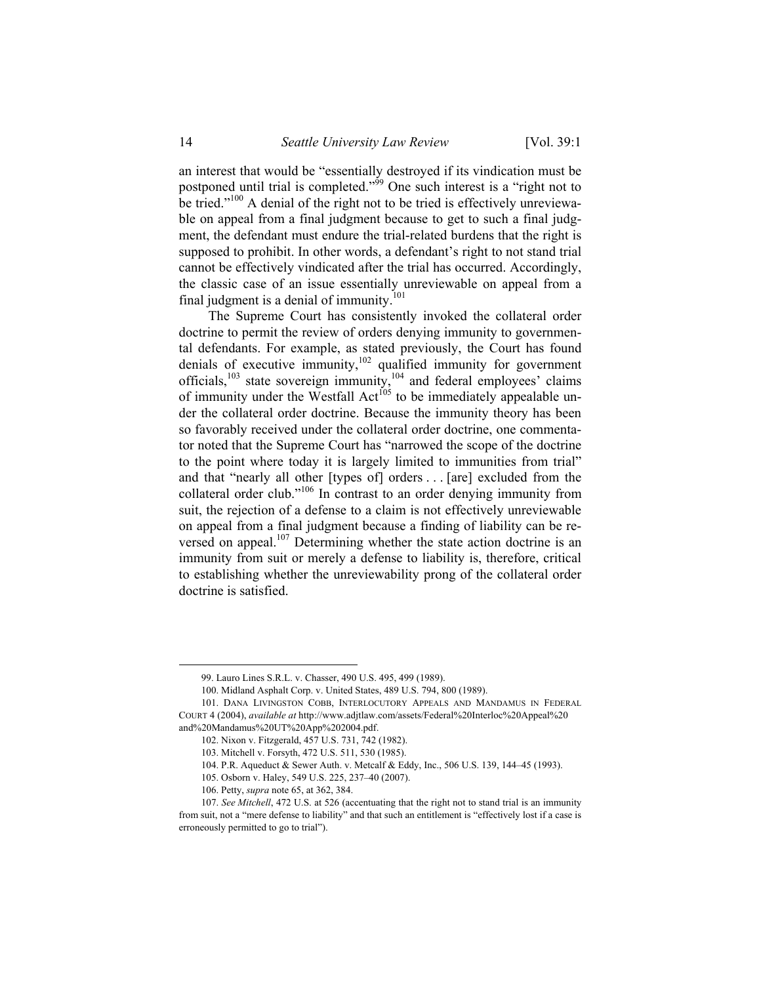an interest that would be "essentially destroyed if its vindication must be postponed until trial is completed."<sup>99</sup> One such interest is a "right not to be tried."<sup>100</sup> A denial of the right not to be tried is effectively unreviewable on appeal from a final judgment because to get to such a final judgment, the defendant must endure the trial-related burdens that the right is supposed to prohibit. In other words, a defendant's right to not stand trial cannot be effectively vindicated after the trial has occurred. Accordingly, the classic case of an issue essentially unreviewable on appeal from a final judgment is a denial of immunity.<sup>101</sup>

The Supreme Court has consistently invoked the collateral order doctrine to permit the review of orders denying immunity to governmental defendants. For example, as stated previously, the Court has found denials of executive immunity,<sup>102</sup> qualified immunity for government officials,  $^{103}$  state sovereign immunity,  $^{104}$  and federal employees' claims of immunity under the Westfall Act<sup>105</sup> to be immediately appealable under the collateral order doctrine. Because the immunity theory has been so favorably received under the collateral order doctrine, one commentator noted that the Supreme Court has "narrowed the scope of the doctrine to the point where today it is largely limited to immunities from trial" and that "nearly all other [types of] orders . . . [are] excluded from the collateral order club."106 In contrast to an order denying immunity from suit, the rejection of a defense to a claim is not effectively unreviewable on appeal from a final judgment because a finding of liability can be reversed on appeal.<sup>107</sup> Determining whether the state action doctrine is an immunity from suit or merely a defense to liability is, therefore, critical to establishing whether the unreviewability prong of the collateral order doctrine is satisfied.

 <sup>99.</sup> Lauro Lines S.R.L. v. Chasser, 490 U.S. 495, 499 (1989).

 <sup>100.</sup> Midland Asphalt Corp. v. United States, 489 U.S. 794, 800 (1989).

 <sup>101.</sup> DANA LIVINGSTON COBB, INTERLOCUTORY APPEALS AND MANDAMUS IN FEDERAL COURT 4 (2004), *available at* http://www.adjtlaw.com/assets/Federal%20Interloc%20Appeal%20 and%20Mandamus%20UT%20App%202004.pdf.

 <sup>102.</sup> Nixon v. Fitzgerald, 457 U.S. 731, 742 (1982).

 <sup>103.</sup> Mitchell v. Forsyth, 472 U.S. 511, 530 (1985).

 <sup>104.</sup> P.R. Aqueduct & Sewer Auth. v. Metcalf & Eddy, Inc., 506 U.S. 139, 144–45 (1993).

 <sup>105.</sup> Osborn v. Haley, 549 U.S. 225, 237–40 (2007).

 <sup>106.</sup> Petty, *supra* note 65, at 362, 384.

<sup>107.</sup> *See Mitchell*, 472 U.S. at 526 (accentuating that the right not to stand trial is an immunity from suit, not a "mere defense to liability" and that such an entitlement is "effectively lost if a case is erroneously permitted to go to trial").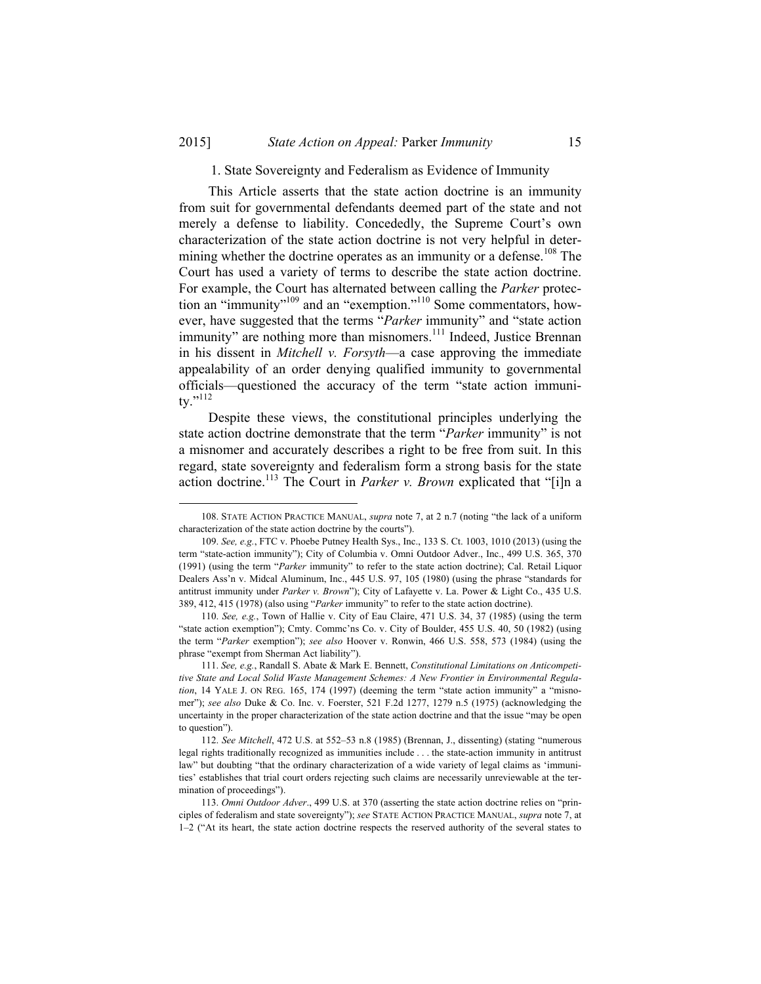## 1. State Sovereignty and Federalism as Evidence of Immunity

This Article asserts that the state action doctrine is an immunity from suit for governmental defendants deemed part of the state and not merely a defense to liability. Concededly, the Supreme Court's own characterization of the state action doctrine is not very helpful in determining whether the doctrine operates as an immunity or a defense.<sup>108</sup> The Court has used a variety of terms to describe the state action doctrine. For example, the Court has alternated between calling the *Parker* protection an "immunity"<sup>109</sup> and an "exemption."<sup>110</sup> Some commentators, however, have suggested that the terms "*Parker* immunity" and "state action immunity" are nothing more than misnomers.<sup>111</sup> Indeed, Justice Brennan in his dissent in *Mitchell v. Forsyth*—a case approving the immediate appealability of an order denying qualified immunity to governmental officials—questioned the accuracy of the term "state action immunity."112

Despite these views, the constitutional principles underlying the state action doctrine demonstrate that the term "*Parker* immunity" is not a misnomer and accurately describes a right to be free from suit. In this regard, state sovereignty and federalism form a strong basis for the state action doctrine.113 The Court in *Parker v. Brown* explicated that "[i]n a

 <sup>108.</sup> STATE ACTION PRACTICE MANUAL, *supra* note 7, at 2 n.7 (noting "the lack of a uniform characterization of the state action doctrine by the courts").

<sup>109.</sup> *See, e.g.*, FTC v. Phoebe Putney Health Sys., Inc., 133 S. Ct. 1003, 1010 (2013) (using the term "state-action immunity"); City of Columbia v. Omni Outdoor Adver., Inc., 499 U.S. 365, 370 (1991) (using the term "*Parker* immunity" to refer to the state action doctrine); Cal. Retail Liquor Dealers Ass'n v. Midcal Aluminum, Inc., 445 U.S. 97, 105 (1980) (using the phrase "standards for antitrust immunity under *Parker v. Brown*"); City of Lafayette v. La. Power & Light Co., 435 U.S. 389, 412, 415 (1978) (also using "*Parker* immunity" to refer to the state action doctrine).

<sup>110.</sup> *See, e.g.*, Town of Hallie v. City of Eau Claire, 471 U.S. 34, 37 (1985) (using the term "state action exemption"); Cmty. Commc'ns Co. v. City of Boulder, 455 U.S. 40, 50 (1982) (using the term "*Parker* exemption"); *see also* Hoover v. Ronwin, 466 U.S. 558, 573 (1984) (using the phrase "exempt from Sherman Act liability").

<sup>111.</sup> *See, e.g.*, Randall S. Abate & Mark E. Bennett, *Constitutional Limitations on Anticompetitive State and Local Solid Waste Management Schemes: A New Frontier in Environmental Regulation*, 14 YALE J. ON REG. 165, 174 (1997) (deeming the term "state action immunity" a "misnomer"); *see also* Duke & Co. Inc. v. Foerster, 521 F.2d 1277, 1279 n.5 (1975) (acknowledging the uncertainty in the proper characterization of the state action doctrine and that the issue "may be open to question").

<sup>112.</sup> *See Mitchell*, 472 U.S. at 552–53 n.8 (1985) (Brennan, J., dissenting) (stating "numerous legal rights traditionally recognized as immunities include . . . the state-action immunity in antitrust law" but doubting "that the ordinary characterization of a wide variety of legal claims as 'immunities' establishes that trial court orders rejecting such claims are necessarily unreviewable at the termination of proceedings").

<sup>113.</sup> *Omni Outdoor Adver*., 499 U.S. at 370 (asserting the state action doctrine relies on "principles of federalism and state sovereignty"); *see* STATE ACTION PRACTICE MANUAL, *supra* note 7, at 1–2 ("At its heart, the state action doctrine respects the reserved authority of the several states to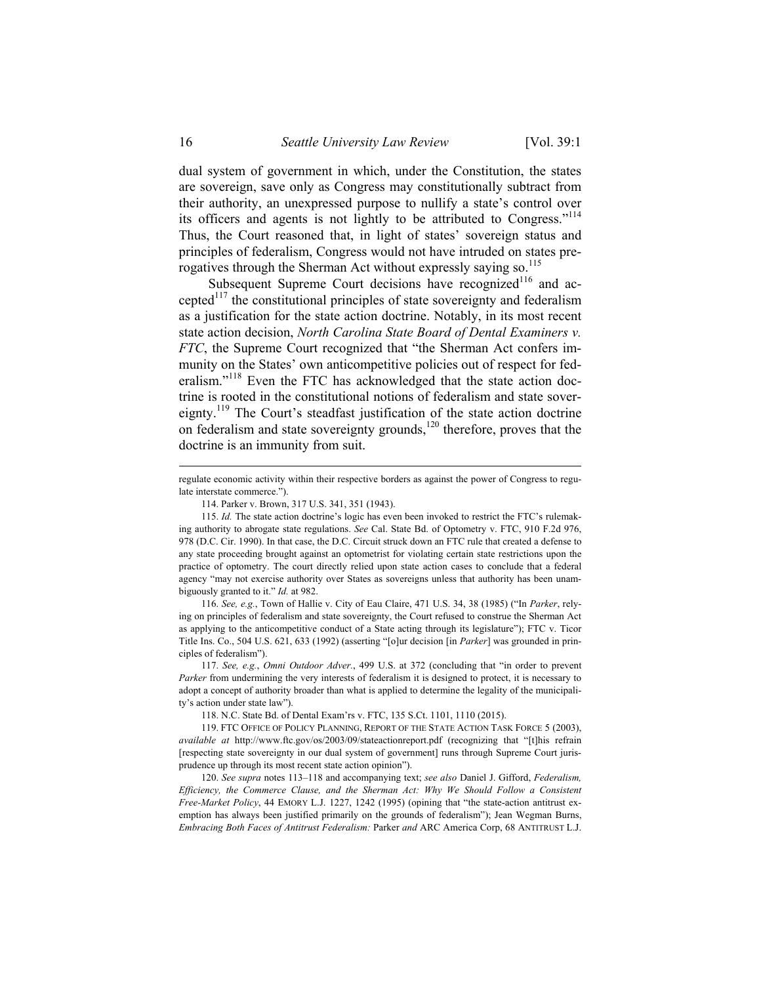dual system of government in which, under the Constitution, the states are sovereign, save only as Congress may constitutionally subtract from their authority, an unexpressed purpose to nullify a state's control over its officers and agents is not lightly to be attributed to Congress."<sup>114</sup> Thus, the Court reasoned that, in light of states' sovereign status and principles of federalism, Congress would not have intruded on states prerogatives through the Sherman Act without expressly saying so.<sup>115</sup>

Subsequent Supreme Court decisions have recognized<sup>116</sup> and accepted<sup>117</sup> the constitutional principles of state sovereignty and federalism as a justification for the state action doctrine. Notably, in its most recent state action decision, *North Carolina State Board of Dental Examiners v. FTC*, the Supreme Court recognized that "the Sherman Act confers immunity on the States' own anticompetitive policies out of respect for federalism."<sup>118</sup> Even the FTC has acknowledged that the state action doctrine is rooted in the constitutional notions of federalism and state sovereignty.<sup>119</sup> The Court's steadfast justification of the state action doctrine on federalism and state sovereignty grounds,<sup>120</sup> therefore, proves that the doctrine is an immunity from suit.

116. *See, e.g.*, Town of Hallie v. City of Eau Claire, 471 U.S. 34, 38 (1985) ("In *Parker*, relying on principles of federalism and state sovereignty, the Court refused to construe the Sherman Act as applying to the anticompetitive conduct of a State acting through its legislature"); FTC v. Ticor Title Ins. Co., 504 U.S. 621, 633 (1992) (asserting "[o]ur decision [in *Parker*] was grounded in principles of federalism").

117. *See, e.g.*, *Omni Outdoor Adver.*, 499 U.S. at 372 (concluding that "in order to prevent *Parker* from undermining the very interests of federalism it is designed to protect, it is necessary to adopt a concept of authority broader than what is applied to determine the legality of the municipality's action under state law").

118. N.C. State Bd. of Dental Exam'rs v. FTC, 135 S.Ct. 1101, 1110 (2015).

 119. FTC OFFICE OF POLICY PLANNING, REPORT OF THE STATE ACTION TASK FORCE 5 (2003), *available at* http://www.ftc.gov/os/2003/09/stateactionreport.pdf (recognizing that "[t]his refrain [respecting state sovereignty in our dual system of government] runs through Supreme Court jurisprudence up through its most recent state action opinion").

120. *See supra* notes 113–118 and accompanying text; *see also* Daniel J. Gifford, *Federalism, Efficiency, the Commerce Clause, and the Sherman Act: Why We Should Follow a Consistent Free-Market Policy*, 44 EMORY L.J. 1227, 1242 (1995) (opining that "the state-action antitrust exemption has always been justified primarily on the grounds of federalism"); Jean Wegman Burns, *Embracing Both Faces of Antitrust Federalism:* Parker *and* ARC America Corp, 68 ANTITRUST L.J.

<sup>&</sup>lt;u> 1989 - Johann Stein, marwolaethau a bhann an t-Amhain an t-Amhain an t-Amhain an t-Amhain an t-Amhain an t-A</u> regulate economic activity within their respective borders as against the power of Congress to regulate interstate commerce.").

 <sup>114.</sup> Parker v. Brown, 317 U.S. 341, 351 (1943).

 <sup>115.</sup> *Id.* The state action doctrine's logic has even been invoked to restrict the FTC's rulemaking authority to abrogate state regulations. *See* Cal. State Bd. of Optometry v. FTC, 910 F.2d 976, 978 (D.C. Cir. 1990). In that case, the D.C. Circuit struck down an FTC rule that created a defense to any state proceeding brought against an optometrist for violating certain state restrictions upon the practice of optometry. The court directly relied upon state action cases to conclude that a federal agency "may not exercise authority over States as sovereigns unless that authority has been unambiguously granted to it." *Id.* at 982.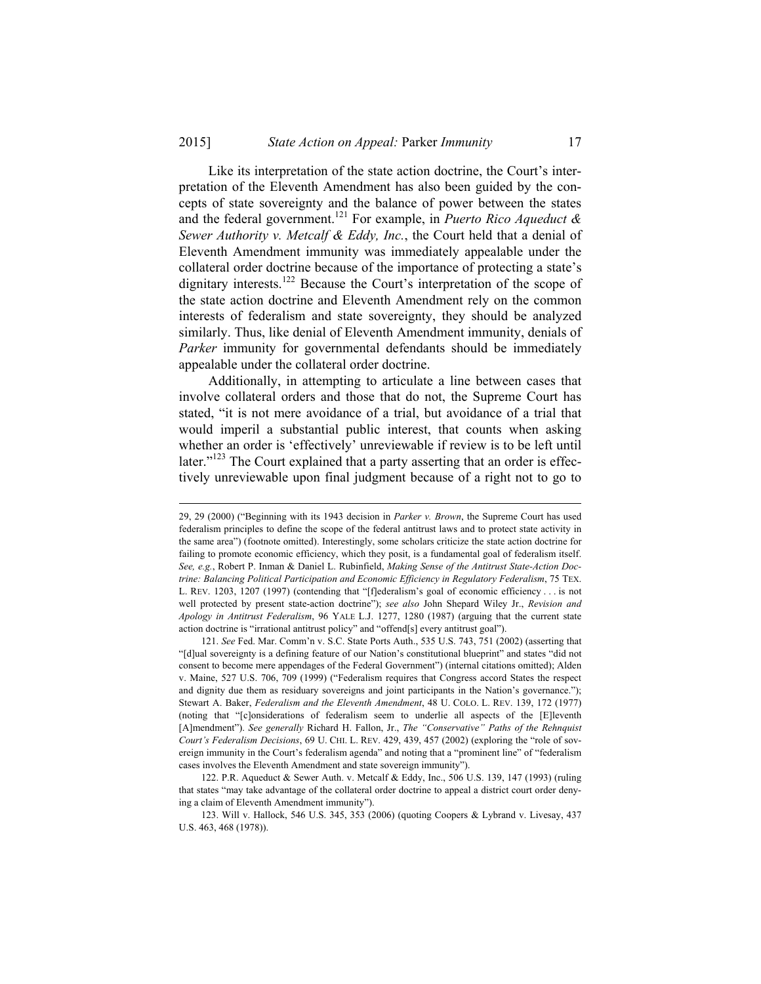Like its interpretation of the state action doctrine, the Court's interpretation of the Eleventh Amendment has also been guided by the concepts of state sovereignty and the balance of power between the states and the federal government.<sup>121</sup> For example, in *Puerto Rico Aqueduct & Sewer Authority v. Metcalf & Eddy, Inc.*, the Court held that a denial of Eleventh Amendment immunity was immediately appealable under the collateral order doctrine because of the importance of protecting a state's dignitary interests.<sup>122</sup> Because the Court's interpretation of the scope of the state action doctrine and Eleventh Amendment rely on the common interests of federalism and state sovereignty, they should be analyzed similarly. Thus, like denial of Eleventh Amendment immunity, denials of *Parker* immunity for governmental defendants should be immediately appealable under the collateral order doctrine.

Additionally, in attempting to articulate a line between cases that involve collateral orders and those that do not, the Supreme Court has stated, "it is not mere avoidance of a trial, but avoidance of a trial that would imperil a substantial public interest, that counts when asking whether an order is 'effectively' unreviewable if review is to be left until later."<sup>123</sup> The Court explained that a party asserting that an order is effectively unreviewable upon final judgment because of a right not to go to

<u> 1989 - Johann Stein, marwolaethau a bhann an t-Amhain an t-Amhain an t-Amhain an t-Amhain an t-Amhain an t-A</u>

<sup>29, 29 (2000) (&</sup>quot;Beginning with its 1943 decision in *Parker v. Brown*, the Supreme Court has used federalism principles to define the scope of the federal antitrust laws and to protect state activity in the same area") (footnote omitted). Interestingly, some scholars criticize the state action doctrine for failing to promote economic efficiency, which they posit, is a fundamental goal of federalism itself. *See, e.g.*, Robert P. Inman & Daniel L. Rubinfield, *Making Sense of the Antitrust State-Action Doctrine: Balancing Political Participation and Economic Efficiency in Regulatory Federalism*, 75 TEX. L. REV. 1203, 1207 (1997) (contending that "[f]ederalism's goal of economic efficiency . . . is not well protected by present state-action doctrine"); *see also* John Shepard Wiley Jr., *Revision and Apology in Antitrust Federalism*, 96 YALE L.J. 1277, 1280 (1987) (arguing that the current state action doctrine is "irrational antitrust policy" and "offend[s] every antitrust goal").

<sup>121.</sup> *See* Fed. Mar. Comm'n v. S.C. State Ports Auth., 535 U.S. 743, 751 (2002) (asserting that "[d]ual sovereignty is a defining feature of our Nation's constitutional blueprint" and states "did not consent to become mere appendages of the Federal Government") (internal citations omitted); Alden v. Maine, 527 U.S. 706, 709 (1999) ("Federalism requires that Congress accord States the respect and dignity due them as residuary sovereigns and joint participants in the Nation's governance."); Stewart A. Baker, *Federalism and the Eleventh Amendment*, 48 U. COLO. L. REV. 139, 172 (1977) (noting that "[c]onsiderations of federalism seem to underlie all aspects of the [E]leventh [A]mendment"). *See generally* Richard H. Fallon, Jr., *The "Conservative" Paths of the Rehnquist Court's Federalism Decisions*, 69 U. CHI. L. REV. 429, 439, 457 (2002) (exploring the "role of sovereign immunity in the Court's federalism agenda" and noting that a "prominent line" of "federalism cases involves the Eleventh Amendment and state sovereign immunity").

 <sup>122.</sup> P.R. Aqueduct & Sewer Auth. v. Metcalf & Eddy, Inc., 506 U.S. 139, 147 (1993) (ruling that states "may take advantage of the collateral order doctrine to appeal a district court order denying a claim of Eleventh Amendment immunity").

 <sup>123.</sup> Will v. Hallock, 546 U.S. 345, 353 (2006) (quoting Coopers & Lybrand v. Livesay, 437 U.S. 463, 468 (1978)).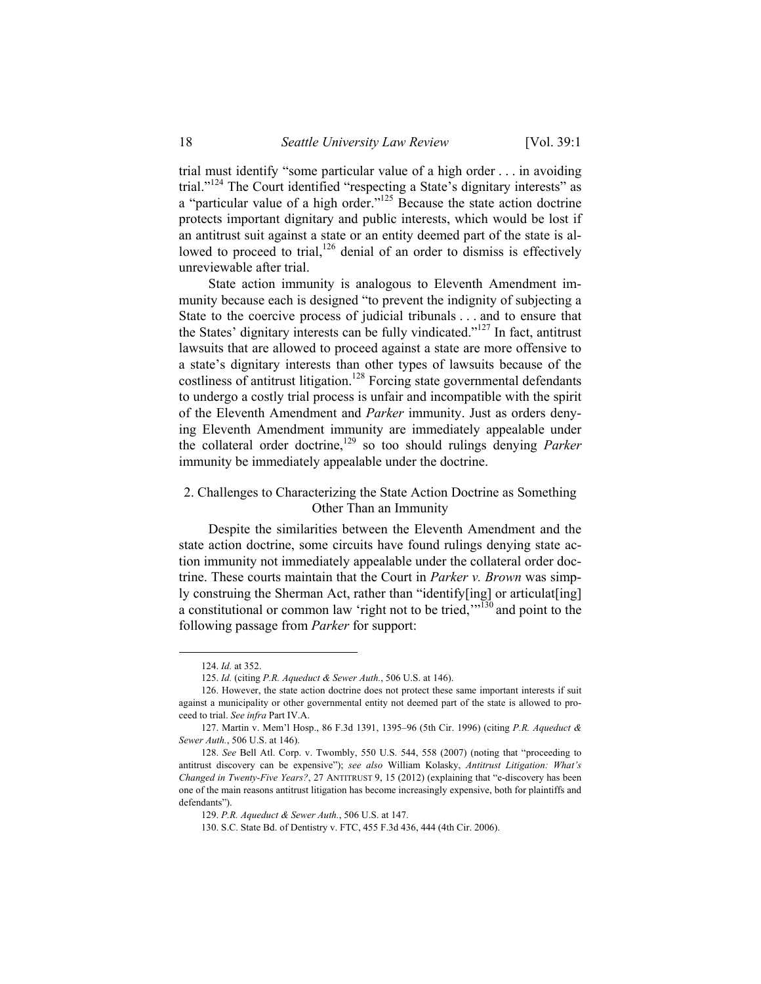trial must identify "some particular value of a high order . . . in avoiding trial."124 The Court identified "respecting a State's dignitary interests" as a "particular value of a high order."125 Because the state action doctrine protects important dignitary and public interests, which would be lost if an antitrust suit against a state or an entity deemed part of the state is allowed to proceed to trial, $126$  denial of an order to dismiss is effectively unreviewable after trial.

State action immunity is analogous to Eleventh Amendment immunity because each is designed "to prevent the indignity of subjecting a State to the coercive process of judicial tribunals . . . and to ensure that the States' dignitary interests can be fully vindicated."127 In fact, antitrust lawsuits that are allowed to proceed against a state are more offensive to a state's dignitary interests than other types of lawsuits because of the costliness of antitrust litigation.<sup>128</sup> Forcing state governmental defendants to undergo a costly trial process is unfair and incompatible with the spirit of the Eleventh Amendment and *Parker* immunity. Just as orders denying Eleventh Amendment immunity are immediately appealable under the collateral order doctrine,<sup>129</sup> so too should rulings denying *Parker* immunity be immediately appealable under the doctrine.

# 2. Challenges to Characterizing the State Action Doctrine as Something Other Than an Immunity

Despite the similarities between the Eleventh Amendment and the state action doctrine, some circuits have found rulings denying state action immunity not immediately appealable under the collateral order doctrine. These courts maintain that the Court in *Parker v. Brown* was simply construing the Sherman Act, rather than "identify[ing] or articulat[ing] a constitutional or common law 'right not to be tried,'"130 and point to the following passage from *Parker* for support:

<sup>124.</sup> *Id.* at 352.

<sup>125.</sup> *Id.* (citing *P.R. Aqueduct & Sewer Auth.*, 506 U.S. at 146).

 <sup>126.</sup> However, the state action doctrine does not protect these same important interests if suit against a municipality or other governmental entity not deemed part of the state is allowed to proceed to trial. *See infra* Part IV.A.

 <sup>127.</sup> Martin v. Mem'l Hosp., 86 F.3d 1391, 1395–96 (5th Cir. 1996) (citing *P.R. Aqueduct & Sewer Auth.*, 506 U.S. at 146).

<sup>128.</sup> *See* Bell Atl. Corp. v. Twombly, 550 U.S. 544, 558 (2007) (noting that "proceeding to antitrust discovery can be expensive"); *see also* William Kolasky, *Antitrust Litigation: What's Changed in Twenty-Five Years?*, 27 ANTITRUST 9, 15 (2012) (explaining that "e-discovery has been one of the main reasons antitrust litigation has become increasingly expensive, both for plaintiffs and defendants").

 <sup>129.</sup> *P.R. Aqueduct & Sewer Auth.*, 506 U.S. at 147.

 <sup>130.</sup> S.C. State Bd. of Dentistry v. FTC, 455 F.3d 436, 444 (4th Cir. 2006).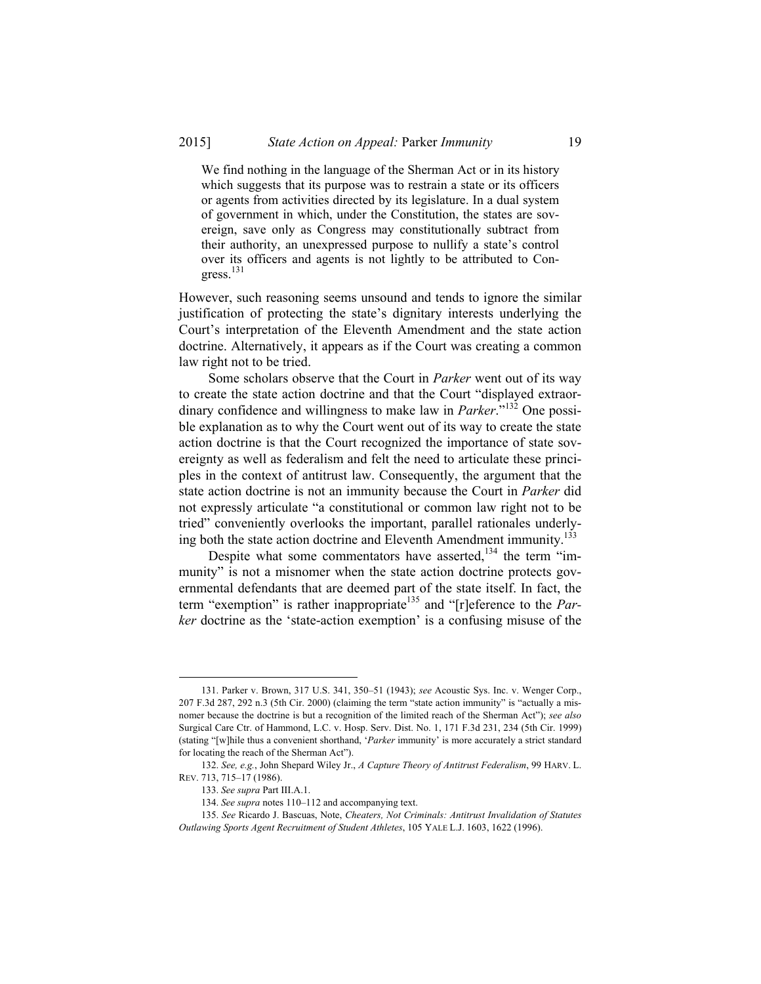We find nothing in the language of the Sherman Act or in its history which suggests that its purpose was to restrain a state or its officers or agents from activities directed by its legislature. In a dual system of government in which, under the Constitution, the states are sovereign, save only as Congress may constitutionally subtract from their authority, an unexpressed purpose to nullify a state's control over its officers and agents is not lightly to be attributed to Congress. 131

However, such reasoning seems unsound and tends to ignore the similar justification of protecting the state's dignitary interests underlying the Court's interpretation of the Eleventh Amendment and the state action doctrine. Alternatively, it appears as if the Court was creating a common law right not to be tried.

Some scholars observe that the Court in *Parker* went out of its way to create the state action doctrine and that the Court "displayed extraordinary confidence and willingness to make law in *Parker*.<sup>7132</sup> One possible explanation as to why the Court went out of its way to create the state action doctrine is that the Court recognized the importance of state sovereignty as well as federalism and felt the need to articulate these principles in the context of antitrust law. Consequently, the argument that the state action doctrine is not an immunity because the Court in *Parker* did not expressly articulate "a constitutional or common law right not to be tried" conveniently overlooks the important, parallel rationales underlying both the state action doctrine and Eleventh Amendment immunity.<sup>133</sup>

Despite what some commentators have asserted, $134$  the term "immunity" is not a misnomer when the state action doctrine protects governmental defendants that are deemed part of the state itself. In fact, the term "exemption" is rather inappropriate<sup>135</sup> and "[r]eference to the *Parker* doctrine as the 'state-action exemption' is a confusing misuse of the

 <sup>131.</sup> Parker v. Brown, 317 U.S. 341, 350–51 (1943); *see* Acoustic Sys. Inc. v. Wenger Corp., 207 F.3d 287, 292 n.3 (5th Cir. 2000) (claiming the term "state action immunity" is "actually a misnomer because the doctrine is but a recognition of the limited reach of the Sherman Act"); *see also* Surgical Care Ctr. of Hammond, L.C. v. Hosp. Serv. Dist. No. 1, 171 F.3d 231, 234 (5th Cir. 1999) (stating "[w]hile thus a convenient shorthand, '*Parker* immunity' is more accurately a strict standard for locating the reach of the Sherman Act").

<sup>132.</sup> *See, e.g.*, John Shepard Wiley Jr., *A Capture Theory of Antitrust Federalism*, 99 HARV. L. REV. 713, 715–17 (1986).

<sup>133.</sup> *See supra* Part III.A.1.

<sup>134.</sup> *See supra* notes 110–112 and accompanying text.

 <sup>135.</sup> *See* Ricardo J. Bascuas, Note, *Cheaters, Not Criminals: Antitrust Invalidation of Statutes Outlawing Sports Agent Recruitment of Student Athletes*, 105 YALE L.J. 1603, 1622 (1996).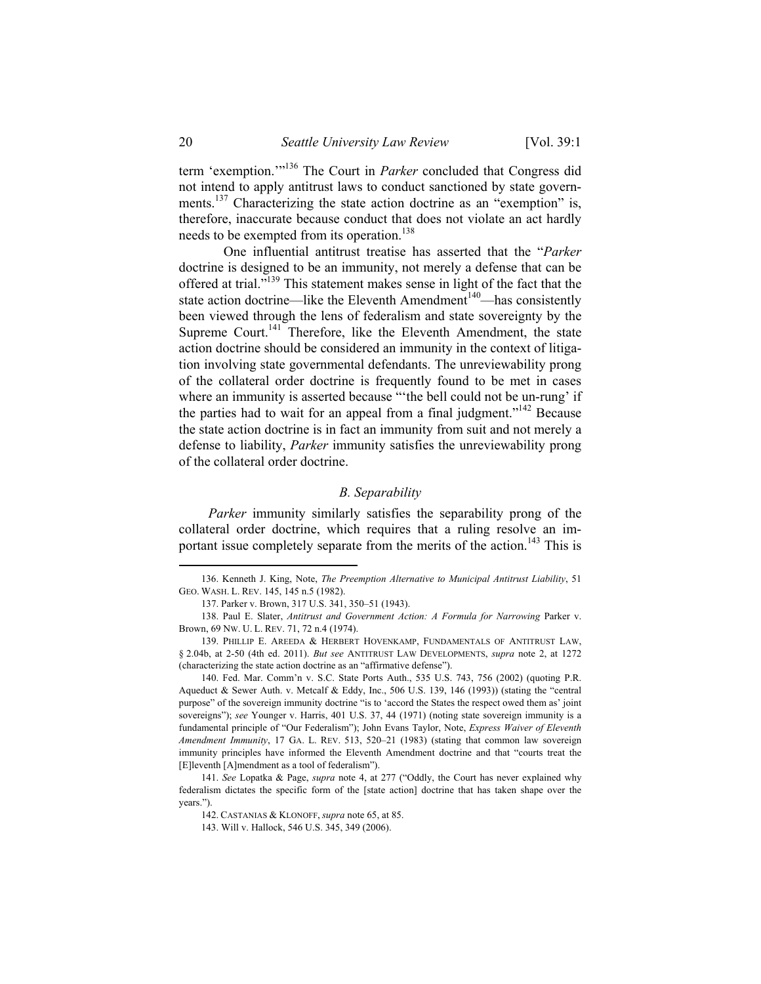term 'exemption.'"136 The Court in *Parker* concluded that Congress did not intend to apply antitrust laws to conduct sanctioned by state governments.<sup>137</sup> Characterizing the state action doctrine as an "exemption" is, therefore, inaccurate because conduct that does not violate an act hardly needs to be exempted from its operation.<sup>138</sup>

 One influential antitrust treatise has asserted that the "*Parker*  doctrine is designed to be an immunity, not merely a defense that can be offered at trial."139 This statement makes sense in light of the fact that the state action doctrine—like the Eleventh Amendment<sup>140</sup>—has consistently been viewed through the lens of federalism and state sovereignty by the Supreme Court.<sup>141</sup> Therefore, like the Eleventh Amendment, the state action doctrine should be considered an immunity in the context of litigation involving state governmental defendants. The unreviewability prong of the collateral order doctrine is frequently found to be met in cases where an immunity is asserted because "the bell could not be un-rung' if the parties had to wait for an appeal from a final judgment."<sup>142</sup> Because the state action doctrine is in fact an immunity from suit and not merely a defense to liability, *Parker* immunity satisfies the unreviewability prong of the collateral order doctrine.

#### *B. Separability*

*Parker* immunity similarly satisfies the separability prong of the collateral order doctrine, which requires that a ruling resolve an important issue completely separate from the merits of the action.<sup>143</sup> This is

 140. Fed. Mar. Comm'n v. S.C. State Ports Auth., 535 U.S. 743, 756 (2002) (quoting P.R. Aqueduct & Sewer Auth. v. Metcalf & Eddy, Inc., 506 U.S. 139, 146 (1993)) (stating the "central purpose" of the sovereign immunity doctrine "is to 'accord the States the respect owed them as' joint sovereigns"); *see* Younger v. Harris, 401 U.S. 37, 44 (1971) (noting state sovereign immunity is a fundamental principle of "Our Federalism"); John Evans Taylor, Note, *Express Waiver of Eleventh Amendment Immunity*, 17 GA. L. REV. 513, 520–21 (1983) (stating that common law sovereign immunity principles have informed the Eleventh Amendment doctrine and that "courts treat the [E]leventh [A]mendment as a tool of federalism").

 <sup>136.</sup> Kenneth J. King, Note, *The Preemption Alternative to Municipal Antitrust Liability*, 51 GEO. WASH. L. REV. 145, 145 n.5 (1982).

 <sup>137.</sup> Parker v. Brown, 317 U.S. 341, 350–51 (1943).

 <sup>138.</sup> Paul E. Slater, *Antitrust and Government Action: A Formula for Narrowing* Parker v. Brown, 69 NW. U. L. REV. 71, 72 n.4 (1974).

 <sup>139.</sup> PHILLIP E. AREEDA & HERBERT HOVENKAMP, FUNDAMENTALS OF ANTITRUST LAW, § 2.04b, at 2-50 (4th ed. 2011). *But see* ANTITRUST LAW DEVELOPMENTS, *supra* note 2, at 1272 (characterizing the state action doctrine as an "affirmative defense").

<sup>141.</sup> *See* Lopatka & Page, *supra* note 4, at 277 ("Oddly, the Court has never explained why federalism dictates the specific form of the [state action] doctrine that has taken shape over the years.").

 <sup>142.</sup> CASTANIAS & KLONOFF, *supra* note 65, at 85.

 <sup>143.</sup> Will v. Hallock, 546 U.S. 345, 349 (2006).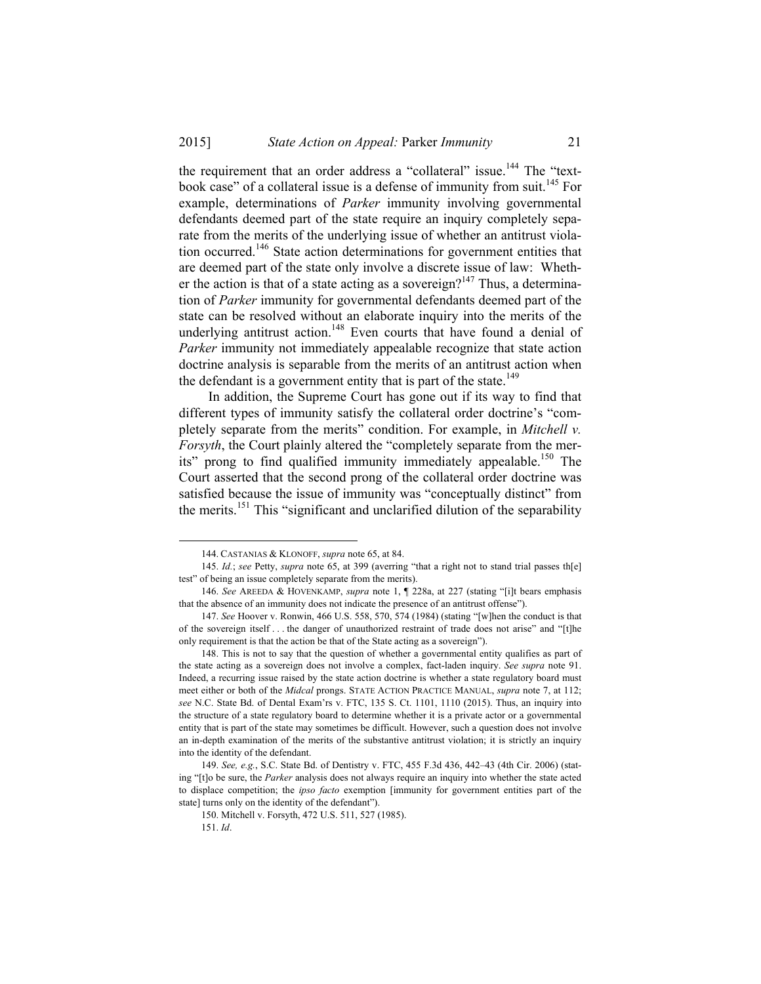the requirement that an order address a "collateral" issue.<sup>144</sup> The "textbook case" of a collateral issue is a defense of immunity from suit.<sup>145</sup> For example, determinations of *Parker* immunity involving governmental defendants deemed part of the state require an inquiry completely separate from the merits of the underlying issue of whether an antitrust violation occurred.146 State action determinations for government entities that are deemed part of the state only involve a discrete issue of law: Whether the action is that of a state acting as a sovereign?<sup>147</sup> Thus, a determination of *Parker* immunity for governmental defendants deemed part of the state can be resolved without an elaborate inquiry into the merits of the underlying antitrust action.<sup>148</sup> Even courts that have found a denial of *Parker* immunity not immediately appealable recognize that state action doctrine analysis is separable from the merits of an antitrust action when the defendant is a government entity that is part of the state.<sup>149</sup>

In addition, the Supreme Court has gone out if its way to find that different types of immunity satisfy the collateral order doctrine's "completely separate from the merits" condition. For example, in *Mitchell v. Forsyth*, the Court plainly altered the "completely separate from the merits" prong to find qualified immunity immediately appealable.<sup>150</sup> The Court asserted that the second prong of the collateral order doctrine was satisfied because the issue of immunity was "conceptually distinct" from the merits.151 This "significant and unclarified dilution of the separability

 <sup>144.</sup> CASTANIAS & KLONOFF, *supra* note 65, at 84.

<sup>145.</sup> *Id.*; *see* Petty, *supra* note 65, at 399 (averring "that a right not to stand trial passes th[e] test" of being an issue completely separate from the merits).

<sup>146.</sup> *See* AREEDA & HOVENKAMP, *supra* note 1, ¶ 228a, at 227 (stating "[i]t bears emphasis that the absence of an immunity does not indicate the presence of an antitrust offense").

<sup>147.</sup> *See* Hoover v. Ronwin, 466 U.S. 558, 570, 574 (1984) (stating "[w]hen the conduct is that of the sovereign itself . . . the danger of unauthorized restraint of trade does not arise" and "[t]he only requirement is that the action be that of the State acting as a sovereign").

 <sup>148.</sup> This is not to say that the question of whether a governmental entity qualifies as part of the state acting as a sovereign does not involve a complex, fact-laden inquiry. *See supra* note 91. Indeed, a recurring issue raised by the state action doctrine is whether a state regulatory board must meet either or both of the *Midcal* prongs. STATE ACTION PRACTICE MANUAL, *supra* note 7, at 112; *see* N.C. State Bd. of Dental Exam'rs v. FTC, 135 S. Ct. 1101, 1110 (2015). Thus, an inquiry into the structure of a state regulatory board to determine whether it is a private actor or a governmental entity that is part of the state may sometimes be difficult. However, such a question does not involve an in-depth examination of the merits of the substantive antitrust violation; it is strictly an inquiry into the identity of the defendant.

<sup>149.</sup> *See, e.g.*, S.C. State Bd. of Dentistry v. FTC, 455 F.3d 436, 442–43 (4th Cir. 2006) (stating "[t]o be sure, the *Parker* analysis does not always require an inquiry into whether the state acted to displace competition; the *ipso facto* exemption [immunity for government entities part of the state] turns only on the identity of the defendant").

 <sup>150.</sup> Mitchell v. Forsyth, 472 U.S. 511, 527 (1985).

<sup>151.</sup> *Id*.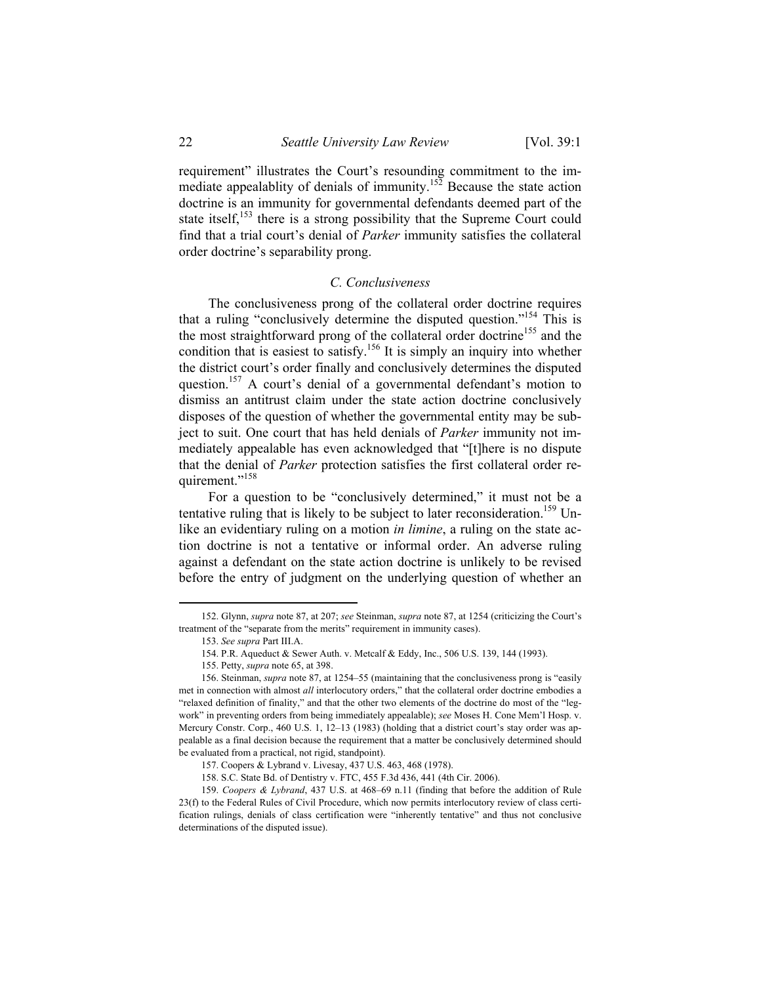requirement" illustrates the Court's resounding commitment to the immediate appealablity of denials of immunity.<sup>152</sup> Because the state action doctrine is an immunity for governmental defendants deemed part of the state itself,<sup>153</sup> there is a strong possibility that the Supreme Court could find that a trial court's denial of *Parker* immunity satisfies the collateral order doctrine's separability prong.

#### *C. Conclusiveness*

The conclusiveness prong of the collateral order doctrine requires that a ruling "conclusively determine the disputed question."154 This is the most straightforward prong of the collateral order doctrine<sup>155</sup> and the condition that is easiest to satisfy.<sup>156</sup> It is simply an inquiry into whether the district court's order finally and conclusively determines the disputed question.<sup>157</sup> A court's denial of a governmental defendant's motion to dismiss an antitrust claim under the state action doctrine conclusively disposes of the question of whether the governmental entity may be subject to suit. One court that has held denials of *Parker* immunity not immediately appealable has even acknowledged that "[t]here is no dispute that the denial of *Parker* protection satisfies the first collateral order requirement."<sup>158</sup>

For a question to be "conclusively determined," it must not be a tentative ruling that is likely to be subject to later reconsideration.<sup>159</sup> Unlike an evidentiary ruling on a motion *in limine*, a ruling on the state action doctrine is not a tentative or informal order. An adverse ruling against a defendant on the state action doctrine is unlikely to be revised before the entry of judgment on the underlying question of whether an

 <sup>152.</sup> Glynn, *supra* note 87, at 207; *see* Steinman, *supra* note 87, at 1254 (criticizing the Court's treatment of the "separate from the merits" requirement in immunity cases).

<sup>153.</sup> *See supra* Part III.A.

 <sup>154.</sup> P.R. Aqueduct & Sewer Auth. v. Metcalf & Eddy, Inc., 506 U.S. 139, 144 (1993).

 <sup>155.</sup> Petty, *supra* note 65, at 398.

 <sup>156.</sup> Steinman, *supra* note 87, at 1254–55 (maintaining that the conclusiveness prong is "easily met in connection with almost *all* interlocutory orders," that the collateral order doctrine embodies a "relaxed definition of finality," and that the other two elements of the doctrine do most of the "legwork" in preventing orders from being immediately appealable); *see* Moses H. Cone Mem'l Hosp. v. Mercury Constr. Corp., 460 U.S. 1, 12–13 (1983) (holding that a district court's stay order was appealable as a final decision because the requirement that a matter be conclusively determined should be evaluated from a practical, not rigid, standpoint).

 <sup>157.</sup> Coopers & Lybrand v. Livesay, 437 U.S. 463, 468 (1978).

 <sup>158.</sup> S.C. State Bd. of Dentistry v. FTC, 455 F.3d 436, 441 (4th Cir. 2006).

 <sup>159.</sup> *Coopers & Lybrand*, 437 U.S. at 468–69 n.11 (finding that before the addition of Rule 23(f) to the Federal Rules of Civil Procedure, which now permits interlocutory review of class certification rulings, denials of class certification were "inherently tentative" and thus not conclusive determinations of the disputed issue).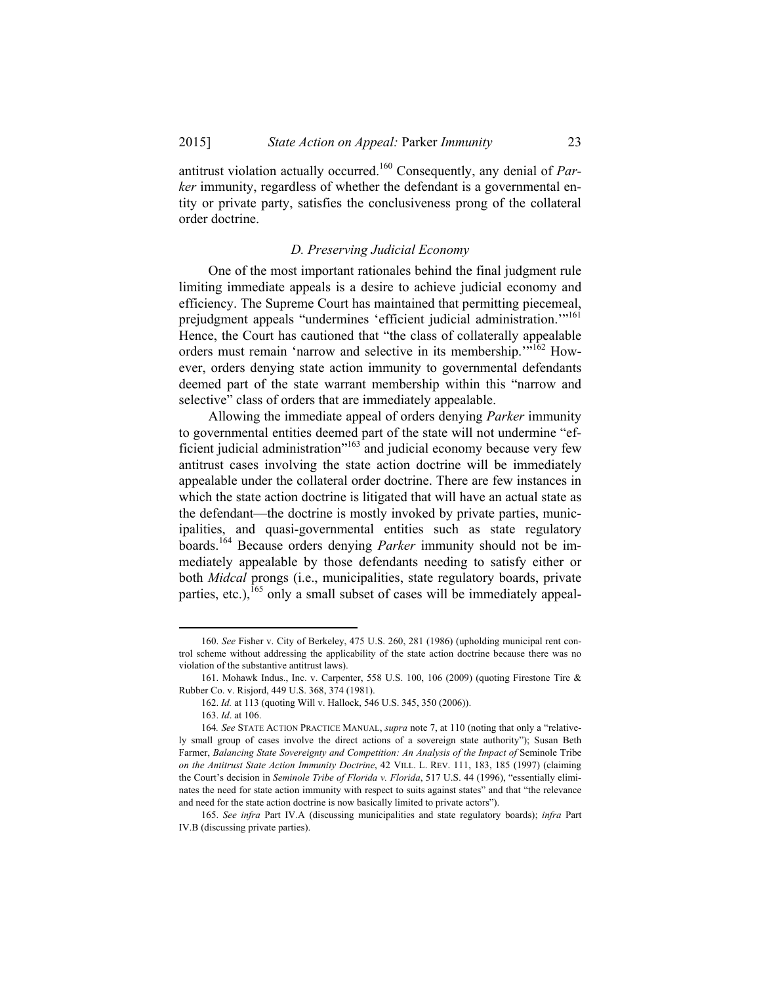antitrust violation actually occurred.160 Consequently, any denial of *Parker* immunity, regardless of whether the defendant is a governmental entity or private party, satisfies the conclusiveness prong of the collateral order doctrine.

#### *D. Preserving Judicial Economy*

One of the most important rationales behind the final judgment rule limiting immediate appeals is a desire to achieve judicial economy and efficiency. The Supreme Court has maintained that permitting piecemeal, prejudgment appeals "undermines 'efficient judicial administration.'"161 Hence, the Court has cautioned that "the class of collaterally appealable orders must remain 'narrow and selective in its membership.'"162 However, orders denying state action immunity to governmental defendants deemed part of the state warrant membership within this "narrow and selective" class of orders that are immediately appealable.

Allowing the immediate appeal of orders denying *Parker* immunity to governmental entities deemed part of the state will not undermine "efficient judicial administration $163$  and judicial economy because very few antitrust cases involving the state action doctrine will be immediately appealable under the collateral order doctrine. There are few instances in which the state action doctrine is litigated that will have an actual state as the defendant—the doctrine is mostly invoked by private parties, municipalities, and quasi-governmental entities such as state regulatory boards.164 Because orders denying *Parker* immunity should not be immediately appealable by those defendants needing to satisfy either or both *Midcal* prongs (i.e., municipalities, state regulatory boards, private parties, etc.),<sup>165</sup> only a small subset of cases will be immediately appeal-

<sup>160.</sup> *See* Fisher v. City of Berkeley, 475 U.S. 260, 281 (1986) (upholding municipal rent control scheme without addressing the applicability of the state action doctrine because there was no violation of the substantive antitrust laws).

 <sup>161.</sup> Mohawk Indus., Inc. v. Carpenter, 558 U.S. 100, 106 (2009) (quoting Firestone Tire & Rubber Co. v. Risjord, 449 U.S. 368, 374 (1981).

<sup>162.</sup> *Id.* at 113 (quoting Will v. Hallock, 546 U.S. 345, 350 (2006)).

<sup>163.</sup> *Id*. at 106.

<sup>164</sup>*. See* STATE ACTION PRACTICE MANUAL, *supra* note 7, at 110 (noting that only a "relatively small group of cases involve the direct actions of a sovereign state authority"); Susan Beth Farmer, *Balancing State Sovereignty and Competition: An Analysis of the Impact of* Seminole Tribe *on the Antitrust State Action Immunity Doctrine*, 42 VILL. L. REV. 111, 183, 185 (1997) (claiming the Court's decision in *Seminole Tribe of Florida v. Florida*, 517 U.S. 44 (1996), "essentially eliminates the need for state action immunity with respect to suits against states" and that "the relevance and need for the state action doctrine is now basically limited to private actors").

<sup>165.</sup> *See infra* Part IV.A (discussing municipalities and state regulatory boards); *infra* Part IV.B (discussing private parties).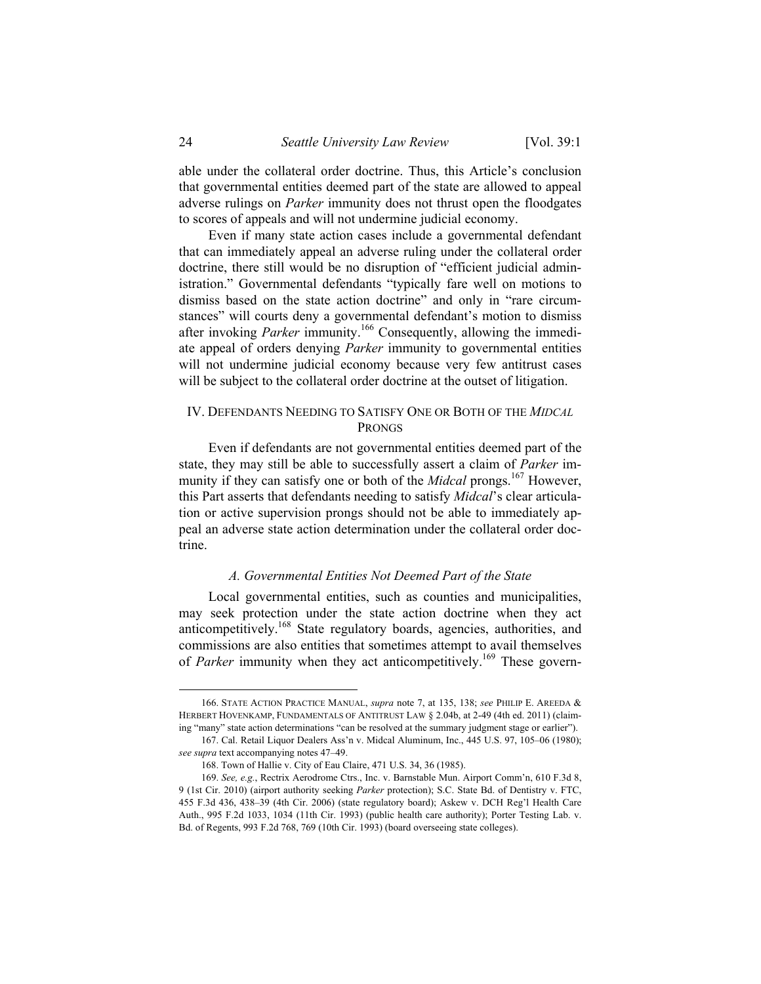able under the collateral order doctrine. Thus, this Article's conclusion that governmental entities deemed part of the state are allowed to appeal adverse rulings on *Parker* immunity does not thrust open the floodgates to scores of appeals and will not undermine judicial economy.

Even if many state action cases include a governmental defendant that can immediately appeal an adverse ruling under the collateral order doctrine, there still would be no disruption of "efficient judicial administration." Governmental defendants "typically fare well on motions to dismiss based on the state action doctrine" and only in "rare circumstances" will courts deny a governmental defendant's motion to dismiss after invoking *Parker* immunity.<sup>166</sup> Consequently, allowing the immediate appeal of orders denying *Parker* immunity to governmental entities will not undermine judicial economy because very few antitrust cases will be subject to the collateral order doctrine at the outset of litigation.

# IV. DEFENDANTS NEEDING TO SATISFY ONE OR BOTH OF THE *MIDCAL*  PRONGS

Even if defendants are not governmental entities deemed part of the state, they may still be able to successfully assert a claim of *Parker* immunity if they can satisfy one or both of the *Midcal* prongs.<sup>167</sup> However, this Part asserts that defendants needing to satisfy *Midcal*'s clear articulation or active supervision prongs should not be able to immediately appeal an adverse state action determination under the collateral order doctrine.

#### *A. Governmental Entities Not Deemed Part of the State*

Local governmental entities, such as counties and municipalities, may seek protection under the state action doctrine when they act anticompetitively.168 State regulatory boards, agencies, authorities, and commissions are also entities that sometimes attempt to avail themselves of *Parker* immunity when they act anticompetitively.<sup>169</sup> These govern-

 <sup>166.</sup> STATE ACTION PRACTICE MANUAL, *supra* note 7, at 135, 138; *see* PHILIP E. AREEDA & HERBERT HOVENKAMP, FUNDAMENTALS OF ANTITRUST LAW § 2.04b, at 2-49 (4th ed. 2011) (claiming "many" state action determinations "can be resolved at the summary judgment stage or earlier"). 167. Cal. Retail Liquor Dealers Ass'n v. Midcal Aluminum, Inc., 445 U.S. 97, 105–06 (1980);

*see supra* text accompanying notes 47–49.

 <sup>168.</sup> Town of Hallie v. City of Eau Claire, 471 U.S. 34, 36 (1985).

<sup>169.</sup> *See, e.g.*, Rectrix Aerodrome Ctrs., Inc. v. Barnstable Mun. Airport Comm'n, 610 F.3d 8, 9 (1st Cir. 2010) (airport authority seeking *Parker* protection); S.C. State Bd. of Dentistry v. FTC, 455 F.3d 436, 438–39 (4th Cir. 2006) (state regulatory board); Askew v. DCH Reg'l Health Care Auth., 995 F.2d 1033, 1034 (11th Cir. 1993) (public health care authority); Porter Testing Lab. v. Bd. of Regents, 993 F.2d 768, 769 (10th Cir. 1993) (board overseeing state colleges).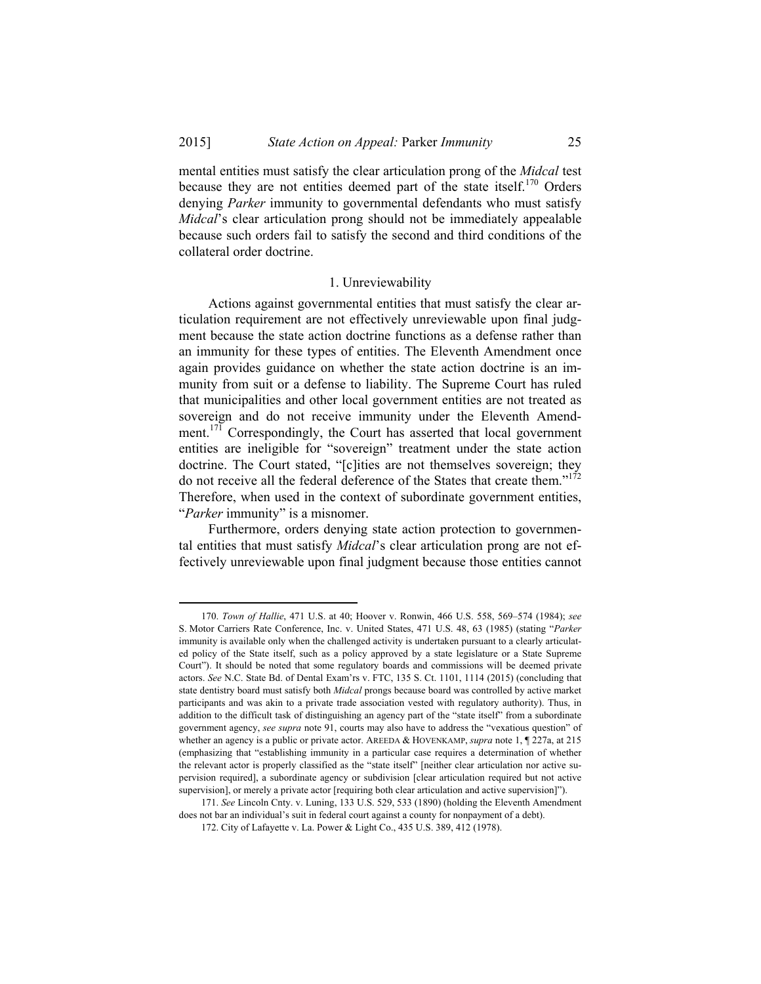mental entities must satisfy the clear articulation prong of the *Midcal* test because they are not entities deemed part of the state itself.<sup>170</sup> Orders denying *Parker* immunity to governmental defendants who must satisfy *Midcal*'s clear articulation prong should not be immediately appealable because such orders fail to satisfy the second and third conditions of the collateral order doctrine.

#### 1. Unreviewability

Actions against governmental entities that must satisfy the clear articulation requirement are not effectively unreviewable upon final judgment because the state action doctrine functions as a defense rather than an immunity for these types of entities. The Eleventh Amendment once again provides guidance on whether the state action doctrine is an immunity from suit or a defense to liability. The Supreme Court has ruled that municipalities and other local government entities are not treated as sovereign and do not receive immunity under the Eleventh Amendment.<sup>171</sup> Correspondingly, the Court has asserted that local government entities are ineligible for "sovereign" treatment under the state action doctrine. The Court stated, "[c]ities are not themselves sovereign; they do not receive all the federal deference of the States that create them."<sup>172</sup> Therefore, when used in the context of subordinate government entities, "*Parker* immunity" is a misnomer.

Furthermore, orders denying state action protection to governmental entities that must satisfy *Midcal*'s clear articulation prong are not effectively unreviewable upon final judgment because those entities cannot

 <sup>170.</sup> *Town of Hallie*, 471 U.S. at 40; Hoover v. Ronwin, 466 U.S. 558, 569–574 (1984); *see*  S. Motor Carriers Rate Conference, Inc. v. United States, 471 U.S. 48, 63 (1985) (stating "*Parker*  immunity is available only when the challenged activity is undertaken pursuant to a clearly articulated policy of the State itself, such as a policy approved by a state legislature or a State Supreme Court"). It should be noted that some regulatory boards and commissions will be deemed private actors. *See* N.C. State Bd. of Dental Exam'rs v. FTC, 135 S. Ct. 1101, 1114 (2015) (concluding that state dentistry board must satisfy both *Midcal* prongs because board was controlled by active market participants and was akin to a private trade association vested with regulatory authority). Thus, in addition to the difficult task of distinguishing an agency part of the "state itself" from a subordinate government agency, *see supra* note 91, courts may also have to address the "vexatious question" of whether an agency is a public or private actor. AREEDA & HOVENKAMP, *supra* note 1, ¶ 227a, at 215 (emphasizing that "establishing immunity in a particular case requires a determination of whether the relevant actor is properly classified as the "state itself" [neither clear articulation nor active supervision required], a subordinate agency or subdivision [clear articulation required but not active supervision], or merely a private actor [requiring both clear articulation and active supervision]").

<sup>171.</sup> *See* Lincoln Cnty. v. Luning, 133 U.S. 529, 533 (1890) (holding the Eleventh Amendment does not bar an individual's suit in federal court against a county for nonpayment of a debt).

 <sup>172.</sup> City of Lafayette v. La. Power & Light Co., 435 U.S. 389, 412 (1978).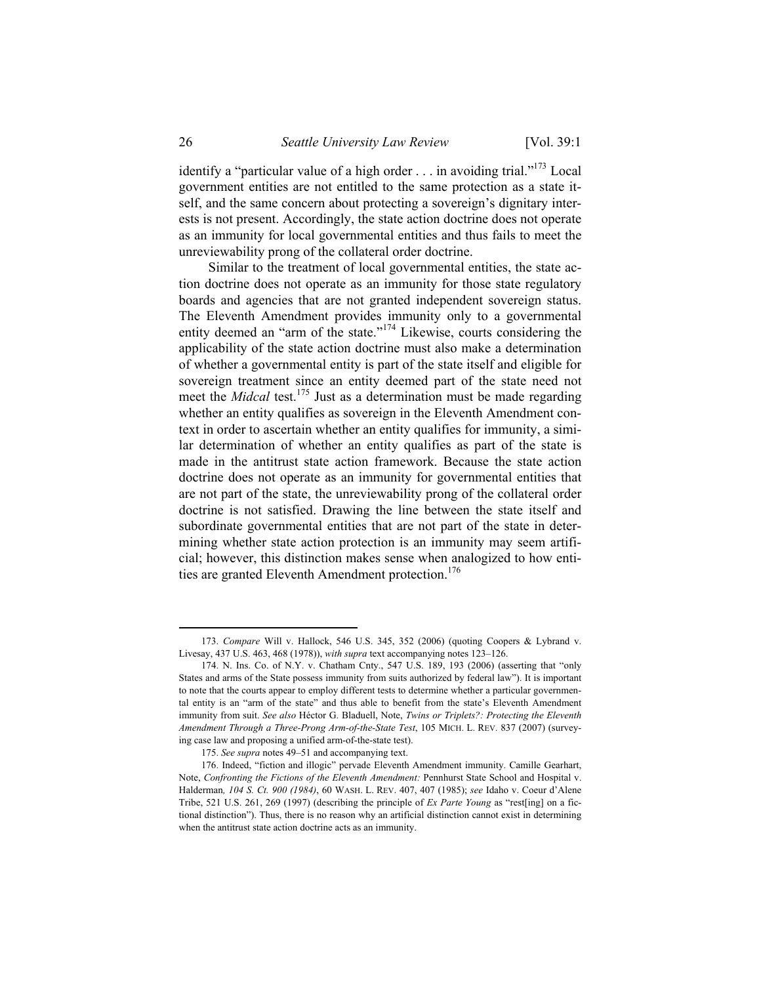identify a "particular value of a high order  $\dots$  in avoiding trial."<sup>173</sup> Local government entities are not entitled to the same protection as a state itself, and the same concern about protecting a sovereign's dignitary interests is not present. Accordingly, the state action doctrine does not operate as an immunity for local governmental entities and thus fails to meet the unreviewability prong of the collateral order doctrine.

Similar to the treatment of local governmental entities, the state action doctrine does not operate as an immunity for those state regulatory boards and agencies that are not granted independent sovereign status. The Eleventh Amendment provides immunity only to a governmental entity deemed an "arm of the state."174 Likewise, courts considering the applicability of the state action doctrine must also make a determination of whether a governmental entity is part of the state itself and eligible for sovereign treatment since an entity deemed part of the state need not meet the *Midcal* test.<sup>175</sup> Just as a determination must be made regarding whether an entity qualifies as sovereign in the Eleventh Amendment context in order to ascertain whether an entity qualifies for immunity, a similar determination of whether an entity qualifies as part of the state is made in the antitrust state action framework. Because the state action doctrine does not operate as an immunity for governmental entities that are not part of the state, the unreviewability prong of the collateral order doctrine is not satisfied. Drawing the line between the state itself and subordinate governmental entities that are not part of the state in determining whether state action protection is an immunity may seem artificial; however, this distinction makes sense when analogized to how entities are granted Eleventh Amendment protection.<sup>176</sup>

<sup>173.</sup> *Compare* Will v. Hallock, 546 U.S. 345, 352 (2006) (quoting Coopers & Lybrand v. Livesay, 437 U.S. 463, 468 (1978)), *with supra* text accompanying notes 123–126.

 <sup>174.</sup> N. Ins. Co. of N.Y. v. Chatham Cnty., 547 U.S. 189, 193 (2006) (asserting that "only States and arms of the State possess immunity from suits authorized by federal law"). It is important to note that the courts appear to employ different tests to determine whether a particular governmental entity is an "arm of the state" and thus able to benefit from the state's Eleventh Amendment immunity from suit. *See also* Héctor G. Bladuell, Note, *Twins or Triplets?: Protecting the Eleventh Amendment Through a Three-Prong Arm-of-the-State Test*, 105 MICH. L. REV. 837 (2007) (surveying case law and proposing a unified arm-of-the-state test).

<sup>175.</sup> *See supra* notes 49–51 and accompanying text.

 <sup>176.</sup> Indeed, "fiction and illogic" pervade Eleventh Amendment immunity. Camille Gearhart, Note, *Confronting the Fictions of the Eleventh Amendment:* Pennhurst State School and Hospital v. Halderman*, 104 S. Ct. 900 (1984)*, 60 WASH. L. REV. 407, 407 (1985); *see* Idaho v. Coeur d'Alene Tribe, 521 U.S. 261, 269 (1997) (describing the principle of *Ex Parte Young* as "rest[ing] on a fictional distinction"). Thus, there is no reason why an artificial distinction cannot exist in determining when the antitrust state action doctrine acts as an immunity.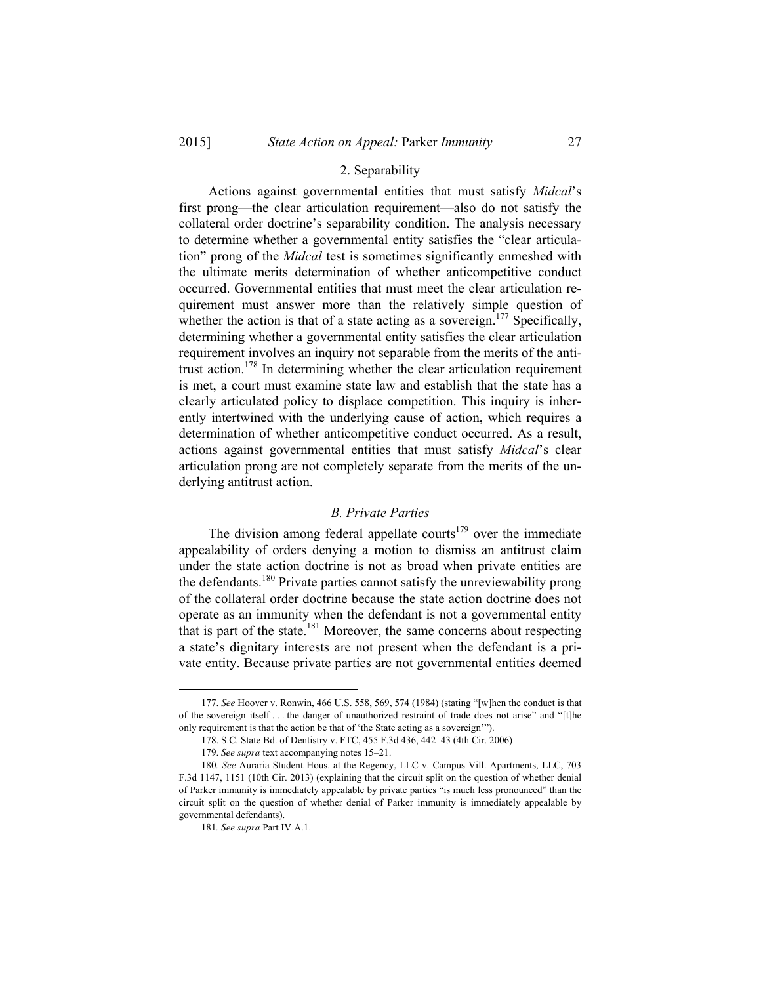### 2. Separability

Actions against governmental entities that must satisfy *Midcal*'s first prong—the clear articulation requirement—also do not satisfy the collateral order doctrine's separability condition. The analysis necessary to determine whether a governmental entity satisfies the "clear articulation" prong of the *Midcal* test is sometimes significantly enmeshed with the ultimate merits determination of whether anticompetitive conduct occurred. Governmental entities that must meet the clear articulation requirement must answer more than the relatively simple question of whether the action is that of a state acting as a sovereign.<sup>177</sup> Specifically, determining whether a governmental entity satisfies the clear articulation requirement involves an inquiry not separable from the merits of the antitrust action.<sup>178</sup> In determining whether the clear articulation requirement is met, a court must examine state law and establish that the state has a clearly articulated policy to displace competition. This inquiry is inherently intertwined with the underlying cause of action, which requires a determination of whether anticompetitive conduct occurred. As a result, actions against governmental entities that must satisfy *Midcal*'s clear articulation prong are not completely separate from the merits of the underlying antitrust action.

# *B. Private Parties*

The division among federal appellate courts<sup>179</sup> over the immediate appealability of orders denying a motion to dismiss an antitrust claim under the state action doctrine is not as broad when private entities are the defendants.180 Private parties cannot satisfy the unreviewability prong of the collateral order doctrine because the state action doctrine does not operate as an immunity when the defendant is not a governmental entity that is part of the state.<sup>181</sup> Moreover, the same concerns about respecting a state's dignitary interests are not present when the defendant is a private entity. Because private parties are not governmental entities deemed

<sup>177.</sup> *See* Hoover v. Ronwin, 466 U.S. 558, 569, 574 (1984) (stating "[w]hen the conduct is that of the sovereign itself . . . the danger of unauthorized restraint of trade does not arise" and "[t]he only requirement is that the action be that of 'the State acting as a sovereign'").

 <sup>178.</sup> S.C. State Bd. of Dentistry v. FTC, 455 F.3d 436, 442–43 (4th Cir. 2006)

 <sup>179.</sup> *See supra* text accompanying notes 15–21.

<sup>180</sup>*. See* Auraria Student Hous. at the Regency, LLC v. Campus Vill. Apartments, LLC, 703 F.3d 1147, 1151 (10th Cir. 2013) (explaining that the circuit split on the question of whether denial of Parker immunity is immediately appealable by private parties "is much less pronounced" than the circuit split on the question of whether denial of Parker immunity is immediately appealable by governmental defendants).

<sup>181</sup>*. See supra* Part IV.A.1.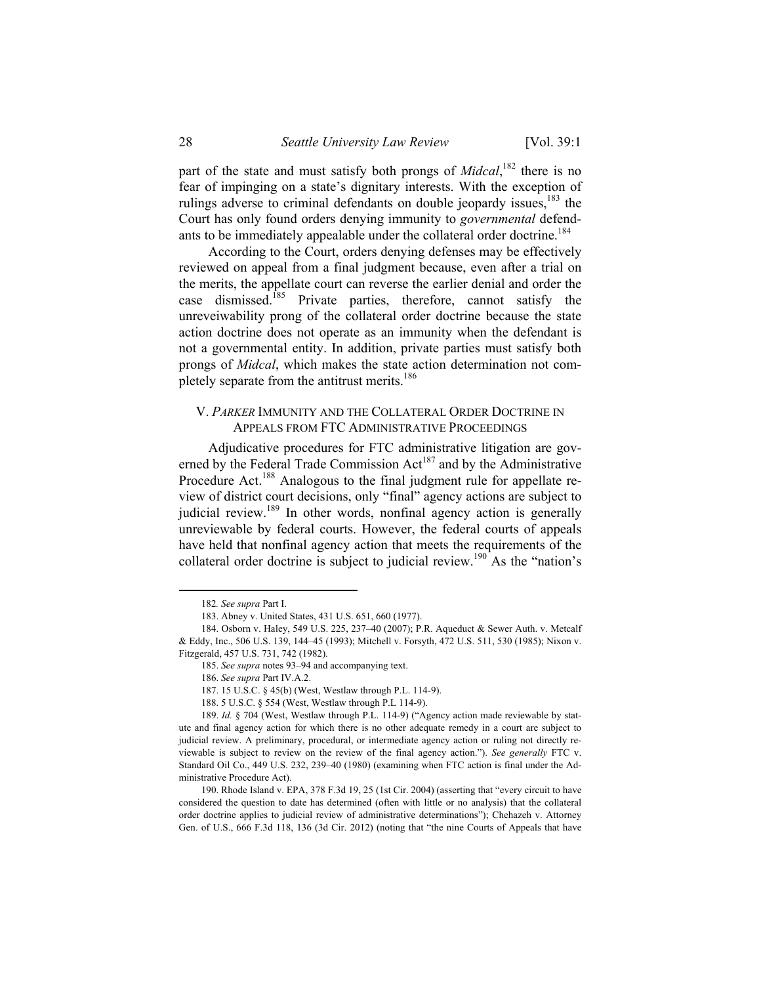part of the state and must satisfy both prongs of *Midcal*, 182 there is no fear of impinging on a state's dignitary interests. With the exception of rulings adverse to criminal defendants on double jeopardy issues, $183$  the Court has only found orders denying immunity to *governmental* defendants to be immediately appealable under the collateral order doctrine.<sup>184</sup>

According to the Court, orders denying defenses may be effectively reviewed on appeal from a final judgment because, even after a trial on the merits, the appellate court can reverse the earlier denial and order the case dismissed.<sup>185</sup> Private parties, therefore, cannot satisfy the unreveiwability prong of the collateral order doctrine because the state action doctrine does not operate as an immunity when the defendant is not a governmental entity. In addition, private parties must satisfy both prongs of *Midcal*, which makes the state action determination not completely separate from the antitrust merits.<sup>186</sup>

### V. *PARKER* IMMUNITY AND THE COLLATERAL ORDER DOCTRINE IN APPEALS FROM FTC ADMINISTRATIVE PROCEEDINGS

Adjudicative procedures for FTC administrative litigation are governed by the Federal Trade Commission  $Act^{187}$  and by the Administrative Procedure Act.<sup>188</sup> Analogous to the final judgment rule for appellate review of district court decisions, only "final" agency actions are subject to judicial review.<sup>189</sup> In other words, nonfinal agency action is generally unreviewable by federal courts. However, the federal courts of appeals have held that nonfinal agency action that meets the requirements of the collateral order doctrine is subject to judicial review.<sup>190</sup> As the "nation's

<sup>182</sup>*. See supra* Part I.

 <sup>183.</sup> Abney v. United States, 431 U.S. 651, 660 (1977).

 <sup>184.</sup> Osborn v. Haley, 549 U.S. 225, 237–40 (2007); P.R. Aqueduct & Sewer Auth. v. Metcalf & Eddy, Inc., 506 U.S. 139, 144–45 (1993); Mitchell v. Forsyth, 472 U.S. 511, 530 (1985); Nixon v. Fitzgerald, 457 U.S. 731, 742 (1982).

<sup>185.</sup> *See supra* notes 93–94 and accompanying text.

<sup>186.</sup> *See supra* Part IV.A.2.

 <sup>187. 15</sup> U.S.C. § 45(b) (West, Westlaw through P.L. 114-9).

 <sup>188. 5</sup> U.S.C. § 554 (West, Westlaw through P.L 114-9).

 <sup>189.</sup> *Id.* § 704 (West, Westlaw through P.L. 114-9) ("Agency action made reviewable by statute and final agency action for which there is no other adequate remedy in a court are subject to judicial review. A preliminary, procedural, or intermediate agency action or ruling not directly reviewable is subject to review on the review of the final agency action."). *See generally* FTC v. Standard Oil Co., 449 U.S. 232, 239–40 (1980) (examining when FTC action is final under the Administrative Procedure Act).

 <sup>190.</sup> Rhode Island v. EPA, 378 F.3d 19, 25 (1st Cir. 2004) (asserting that "every circuit to have considered the question to date has determined (often with little or no analysis) that the collateral order doctrine applies to judicial review of administrative determinations"); Chehazeh v. Attorney Gen. of U.S., 666 F.3d 118, 136 (3d Cir. 2012) (noting that "the nine Courts of Appeals that have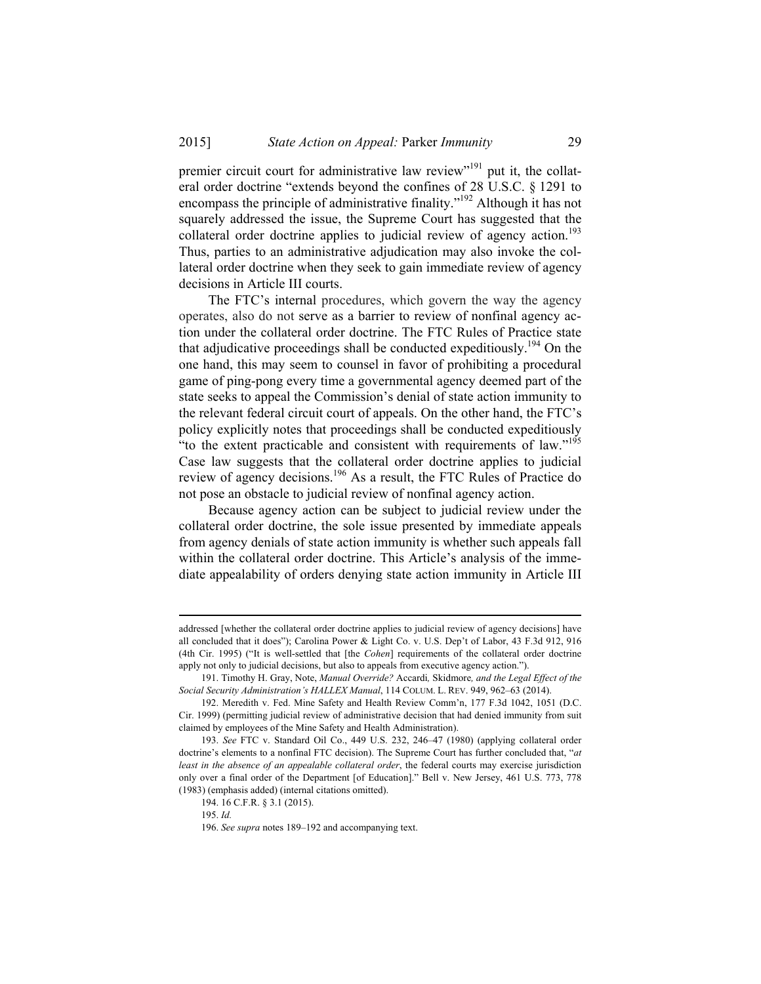premier circuit court for administrative law review"<sup>191</sup> put it, the collateral order doctrine "extends beyond the confines of 28 U.S.C. § 1291 to encompass the principle of administrative finality."192 Although it has not squarely addressed the issue, the Supreme Court has suggested that the collateral order doctrine applies to judicial review of agency action.<sup>193</sup> Thus, parties to an administrative adjudication may also invoke the collateral order doctrine when they seek to gain immediate review of agency decisions in Article III courts.

The FTC's internal procedures, which govern the way the agency operates, also do not serve as a barrier to review of nonfinal agency action under the collateral order doctrine. The FTC Rules of Practice state that adjudicative proceedings shall be conducted expeditiously.<sup>194</sup> On the one hand, this may seem to counsel in favor of prohibiting a procedural game of ping-pong every time a governmental agency deemed part of the state seeks to appeal the Commission's denial of state action immunity to the relevant federal circuit court of appeals. On the other hand, the FTC's policy explicitly notes that proceedings shall be conducted expeditiously "to the extent practicable and consistent with requirements of law."195 Case law suggests that the collateral order doctrine applies to judicial review of agency decisions.196 As a result, the FTC Rules of Practice do not pose an obstacle to judicial review of nonfinal agency action.

Because agency action can be subject to judicial review under the collateral order doctrine, the sole issue presented by immediate appeals from agency denials of state action immunity is whether such appeals fall within the collateral order doctrine. This Article's analysis of the immediate appealability of orders denying state action immunity in Article III

<u> Andrewski program i svjetski predsjednik i svoji s objavlja s objavlja s objavlja s objavlja s objavlja s obj</u>

addressed [whether the collateral order doctrine applies to judicial review of agency decisions] have all concluded that it does"); Carolina Power & Light Co. v. U.S. Dep't of Labor, 43 F.3d 912, 916 (4th Cir. 1995) ("It is well-settled that [the *Cohen*] requirements of the collateral order doctrine apply not only to judicial decisions, but also to appeals from executive agency action.").

 <sup>191.</sup> Timothy H. Gray, Note, *Manual Override?* Accardi*,* Skidmore*, and the Legal Effect of the Social Security Administration's HALLEX Manual*, 114 COLUM. L. REV. 949, 962–63 (2014).

 <sup>192.</sup> Meredith v. Fed. Mine Safety and Health Review Comm'n, 177 F.3d 1042, 1051 (D.C. Cir. 1999) (permitting judicial review of administrative decision that had denied immunity from suit claimed by employees of the Mine Safety and Health Administration).

<sup>193.</sup> *See* FTC v. Standard Oil Co., 449 U.S. 232, 246–47 (1980) (applying collateral order doctrine's elements to a nonfinal FTC decision). The Supreme Court has further concluded that, "*at least in the absence of an appealable collateral order*, the federal courts may exercise jurisdiction only over a final order of the Department [of Education]." Bell v. New Jersey, 461 U.S. 773, 778 (1983) (emphasis added) (internal citations omitted).

 <sup>194. 16</sup> C.F.R. § 3.1 (2015).

<sup>195.</sup> *Id.*

 <sup>196.</sup> *See supra* notes 189–192 and accompanying text.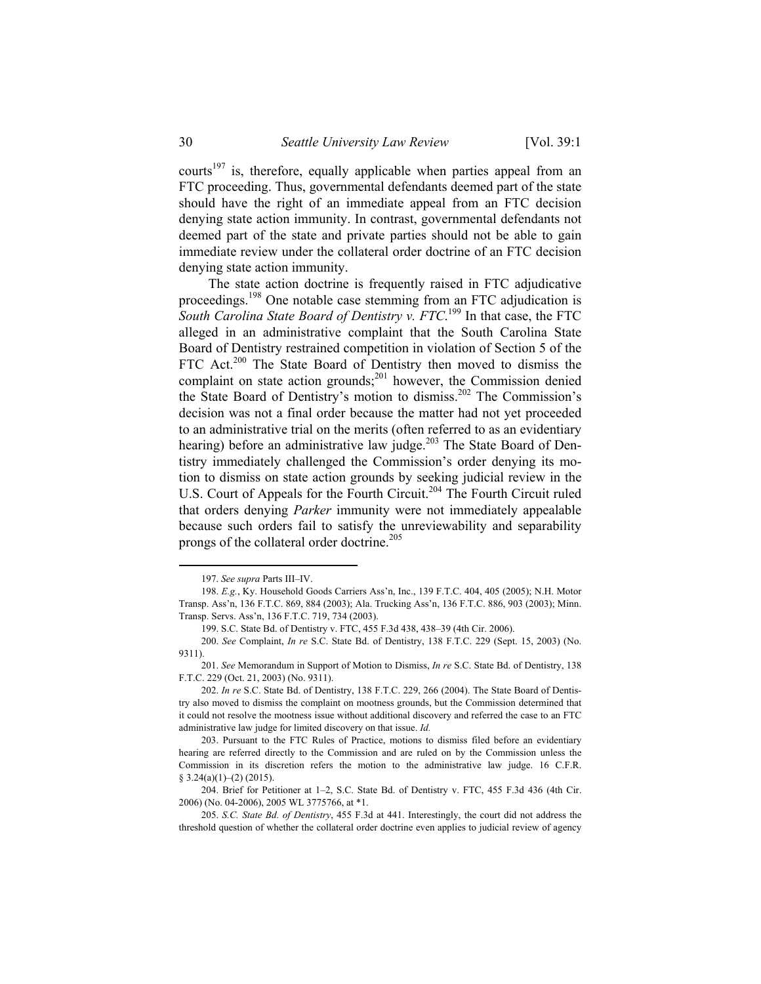courts<sup>197</sup> is, therefore, equally applicable when parties appeal from an FTC proceeding. Thus, governmental defendants deemed part of the state should have the right of an immediate appeal from an FTC decision denying state action immunity. In contrast, governmental defendants not deemed part of the state and private parties should not be able to gain immediate review under the collateral order doctrine of an FTC decision denying state action immunity.

The state action doctrine is frequently raised in FTC adjudicative proceedings.<sup>198</sup> One notable case stemming from an FTC adjudication is *South Carolina State Board of Dentistry v. FTC*. 199 In that case, the FTC alleged in an administrative complaint that the South Carolina State Board of Dentistry restrained competition in violation of Section 5 of the FTC Act.<sup>200</sup> The State Board of Dentistry then moved to dismiss the complaint on state action grounds; $^{201}$  however, the Commission denied the State Board of Dentistry's motion to dismiss.202 The Commission's decision was not a final order because the matter had not yet proceeded to an administrative trial on the merits (often referred to as an evidentiary hearing) before an administrative law judge.<sup>203</sup> The State Board of Dentistry immediately challenged the Commission's order denying its motion to dismiss on state action grounds by seeking judicial review in the U.S. Court of Appeals for the Fourth Circuit.<sup>204</sup> The Fourth Circuit ruled that orders denying *Parker* immunity were not immediately appealable because such orders fail to satisfy the unreviewability and separability prongs of the collateral order doctrine.<sup>205</sup>

<sup>197.</sup> *See supra* Parts III–IV.

<sup>198.</sup> *E.g.*, Ky. Household Goods Carriers Ass'n, Inc., 139 F.T.C. 404, 405 (2005); N.H. Motor Transp. Ass'n, 136 F.T.C. 869, 884 (2003); Ala. Trucking Ass'n, 136 F.T.C. 886, 903 (2003); Minn. Transp. Servs. Ass'n, 136 F.T.C. 719, 734 (2003).

 <sup>199.</sup> S.C. State Bd. of Dentistry v. FTC, 455 F.3d 438, 438–39 (4th Cir. 2006).

<sup>200.</sup> *See* Complaint, *In re* S.C. State Bd. of Dentistry, 138 F.T.C. 229 (Sept. 15, 2003) (No. 9311).

<sup>201.</sup> *See* Memorandum in Support of Motion to Dismiss, *In re* S.C. State Bd. of Dentistry, 138 F.T.C. 229 (Oct. 21, 2003) (No. 9311).

 <sup>202.</sup> *In re* S.C. State Bd. of Dentistry, 138 F.T.C. 229, 266 (2004). The State Board of Dentistry also moved to dismiss the complaint on mootness grounds, but the Commission determined that it could not resolve the mootness issue without additional discovery and referred the case to an FTC administrative law judge for limited discovery on that issue. *Id.*

 <sup>203.</sup> Pursuant to the FTC Rules of Practice, motions to dismiss filed before an evidentiary hearing are referred directly to the Commission and are ruled on by the Commission unless the Commission in its discretion refers the motion to the administrative law judge. 16 C.F.R.  $§ 3.24(a)(1)–(2) (2015).$ 

 <sup>204.</sup> Brief for Petitioner at 1–2, S.C. State Bd. of Dentistry v. FTC, 455 F.3d 436 (4th Cir. 2006) (No. 04-2006), 2005 WL 3775766, at \*1.

 <sup>205.</sup> *S.C. State Bd. of Dentistry*, 455 F.3d at 441. Interestingly, the court did not address the threshold question of whether the collateral order doctrine even applies to judicial review of agency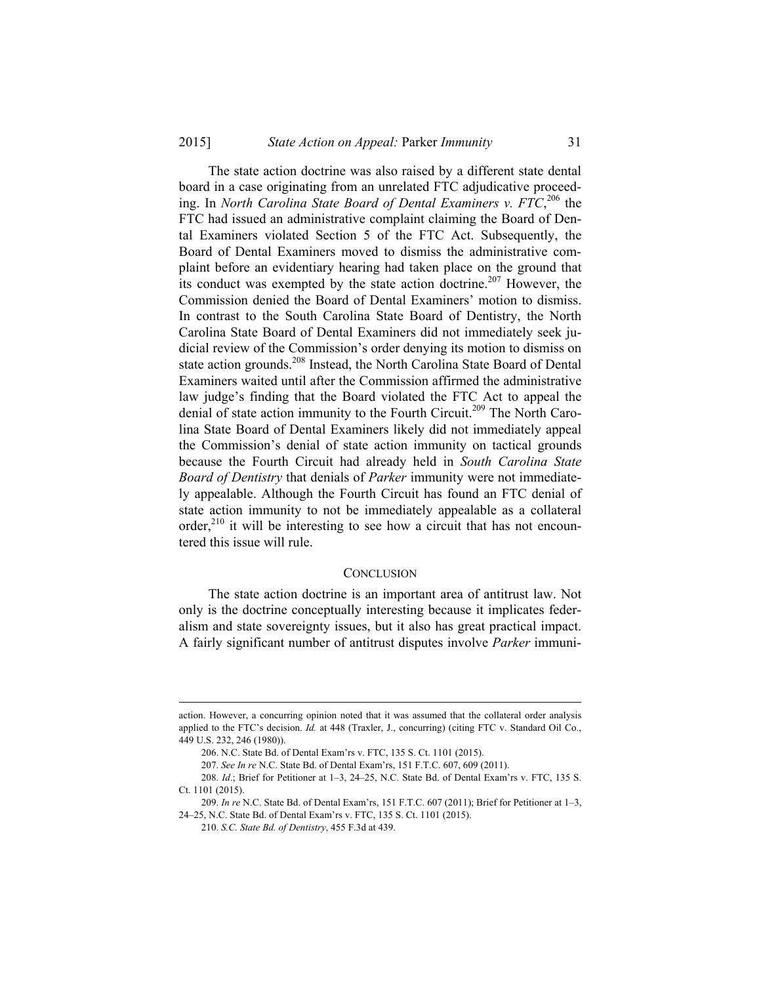The state action doctrine was also raised by a different state dental board in a case originating from an unrelated FTC adjudicative proceeding. In *North Carolina State Board of Dental Examiners v. FTC*, 206 the FTC had issued an administrative complaint claiming the Board of Dental Examiners violated Section 5 of the FTC Act. Subsequently, the Board of Dental Examiners moved to dismiss the administrative complaint before an evidentiary hearing had taken place on the ground that its conduct was exempted by the state action doctrine.<sup>207</sup> However, the Commission denied the Board of Dental Examiners' motion to dismiss. In contrast to the South Carolina State Board of Dentistry, the North Carolina State Board of Dental Examiners did not immediately seek judicial review of the Commission's order denying its motion to dismiss on state action grounds.<sup>208</sup> Instead, the North Carolina State Board of Dental Examiners waited until after the Commission affirmed the administrative law judge's finding that the Board violated the FTC Act to appeal the denial of state action immunity to the Fourth Circuit.<sup>209</sup> The North Carolina State Board of Dental Examiners likely did not immediately appeal the Commission's denial of state action immunity on tactical grounds because the Fourth Circuit had already held in *South Carolina State Board of Dentistry* that denials of *Parker* immunity were not immediately appealable. Although the Fourth Circuit has found an FTC denial of state action immunity to not be immediately appealable as a collateral  $order<sub>10</sub><sup>210</sup>$  it will be interesting to see how a circuit that has not encountered this issue will rule.

#### **CONCLUSION**

The state action doctrine is an important area of antitrust law. Not only is the doctrine conceptually interesting because it implicates federalism and state sovereignty issues, but it also has great practical impact. A fairly significant number of antitrust disputes involve *Parker* immuni-

<u> 1989 - Johann Barn, mars ann an t-Amhain ann an t-Amhain an t-Amhain an t-Amhain an t-Amhain an t-Amhain an t-</u>

action. However, a concurring opinion noted that it was assumed that the collateral order analysis applied to the FTC's decision. *Id.* at 448 (Traxler, J., concurring) (citing FTC v. Standard Oil Co., 449 U.S. 232, 246 (1980)).

 <sup>206.</sup> N.C. State Bd. of Dental Exam'rs v. FTC, 135 S. Ct. 1101 (2015).

<sup>207.</sup> *See In re* N.C. State Bd. of Dental Exam'rs, 151 F.T.C. 607, 609 (2011).

<sup>208.</sup> *Id*.; Brief for Petitioner at 1–3, 24–25, N.C. State Bd. of Dental Exam'rs v. FTC, 135 S. Ct. 1101 (2015).

 <sup>209.</sup> *In re* N.C. State Bd. of Dental Exam'rs, 151 F.T.C. 607 (2011); Brief for Petitioner at 1–3, 24–25, N.C. State Bd. of Dental Exam'rs v. FTC, 135 S. Ct. 1101 (2015).

<sup>210.</sup> *S.C. State Bd. of Dentistry*, 455 F.3d at 439.